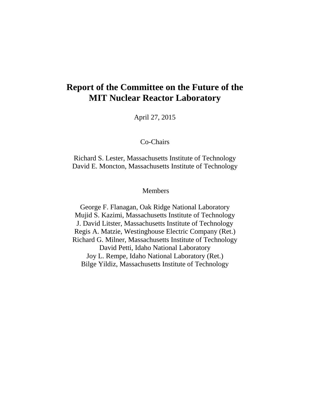## **Report of the Committee on the Future of the MIT Nuclear Reactor Laboratory**

April 27, 2015

Co-Chairs

Richard S. Lester, Massachusetts Institute of Technology David E. Moncton, Massachusetts Institute of Technology

**Members** 

George F. Flanagan, Oak Ridge National Laboratory Mujid S. Kazimi, Massachusetts Institute of Technology J. David Litster, Massachusetts Institute of Technology Regis A. Matzie, Westinghouse Electric Company (Ret.) Richard G. Milner, Massachusetts Institute of Technology David Petti, Idaho National Laboratory Joy L. Rempe, Idaho National Laboratory (Ret.) Bilge Yildiz, Massachusetts Institute of Technology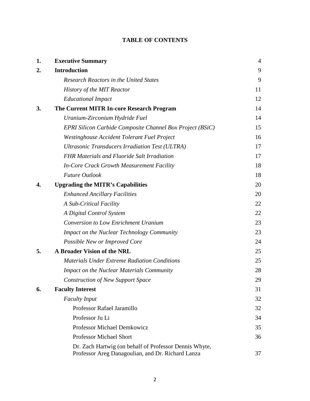| 1. | <b>Executive Summary</b>                                                                                    | 4  |
|----|-------------------------------------------------------------------------------------------------------------|----|
| 2. | <b>Introduction</b>                                                                                         | 9  |
|    | <b>Research Reactors in the United States</b>                                                               | 9  |
|    | <b>History of the MIT Reactor</b>                                                                           | 11 |
|    | <b>Educational Impact</b>                                                                                   | 12 |
| 3. | The Current MITR In-core Research Program                                                                   | 14 |
|    | Uranium-Zirconium Hydride Fuel                                                                              | 14 |
|    | EPRI Silicon Carbide Composite Channel Box Project (BSiC)                                                   | 15 |
|    | Westinghouse Accident Tolerant Fuel Project                                                                 | 16 |
|    | Ultrasonic Transducers Irradiation Test (ULTRA)                                                             | 17 |
|    | <b>FHR Materials and Fluoride Salt Irradiation</b>                                                          | 17 |
|    | In-Core Crack Growth Measurement Facility                                                                   | 18 |
|    | <b>Future Outlook</b>                                                                                       | 18 |
| 4. | <b>Upgrading the MITR's Capabilities</b>                                                                    | 20 |
|    | <b>Enhanced Ancillary Facilities</b>                                                                        | 20 |
|    | A Sub-Critical Facility                                                                                     | 22 |
|    | A Digital Control System                                                                                    | 22 |
|    | <b>Conversion to Low Enrichment Uranium</b>                                                                 | 23 |
|    | <b>Impact on the Nuclear Technology Community</b>                                                           | 23 |
|    | Possible New or Improved Core                                                                               | 24 |
| 5. | A Broader Vision of the NRL                                                                                 | 25 |
|    | <b>Materials Under Extreme Radiation Conditions</b>                                                         | 25 |
|    | <b>Impact on the Nuclear Materials Community</b>                                                            | 28 |
|    | <b>Construction of New Support Space</b>                                                                    | 29 |
| 6. | <b>Faculty Interest</b>                                                                                     | 31 |
|    | <b>Faculty Input</b>                                                                                        | 32 |
|    | Professor Rafael Jaramillo                                                                                  | 32 |
|    | Professor Ju Li                                                                                             | 34 |
|    | <b>Professor Michael Demkowicz</b>                                                                          | 35 |
|    | <b>Professor Michael Short</b>                                                                              | 36 |
|    | Dr. Zach Hartwig (on behalf of Professor Dennis Whyte,<br>Professor Areg Danagoulian, and Dr. Richard Lanza | 37 |

### **TABLE OF CONTENTS**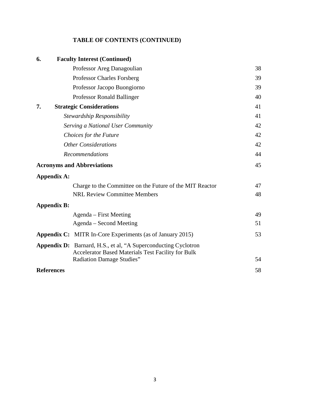### **TABLE OF CONTENTS (CONTINUED)**

| 6.                 | <b>Faculty Interest (Continued)</b>                                                                                                |    |
|--------------------|------------------------------------------------------------------------------------------------------------------------------------|----|
|                    | Professor Areg Danagoulian                                                                                                         | 38 |
|                    | <b>Professor Charles Forsberg</b>                                                                                                  | 39 |
|                    | Professor Jacopo Buongiorno                                                                                                        | 39 |
|                    | Professor Ronald Ballinger                                                                                                         | 40 |
| 7.                 | <b>Strategic Considerations</b>                                                                                                    | 41 |
|                    | Stewardship Responsibility                                                                                                         | 41 |
|                    | Serving a National User Community                                                                                                  | 42 |
|                    | Choices for the Future                                                                                                             | 42 |
|                    | <b>Other Considerations</b>                                                                                                        | 42 |
|                    | <b>Recommendations</b>                                                                                                             | 44 |
|                    | <b>Acronyms and Abbreviations</b>                                                                                                  | 45 |
| <b>Appendix A:</b> |                                                                                                                                    |    |
|                    | Charge to the Committee on the Future of the MIT Reactor                                                                           | 47 |
|                    | <b>NRL Review Committee Members</b>                                                                                                | 48 |
| <b>Appendix B:</b> |                                                                                                                                    |    |
|                    | Agenda – First Meeting                                                                                                             | 49 |
|                    | Agenda – Second Meeting                                                                                                            | 51 |
|                    | <b>Appendix C:</b> MITR In-Core Experiments (as of January 2015)                                                                   | 53 |
|                    | <b>Appendix D:</b> Barnard, H.S., et al, "A Superconducting Cyclotron<br><b>Accelerator Based Materials Test Facility for Bulk</b> |    |
|                    | Radiation Damage Studies"                                                                                                          | 54 |
| <b>References</b>  |                                                                                                                                    | 58 |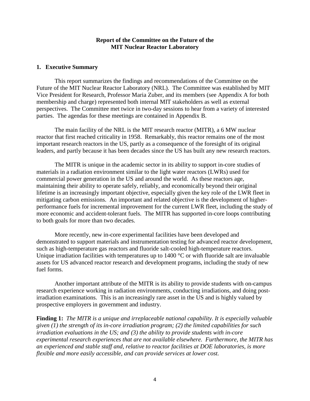#### **Report of the Committee on the Future of the MIT Nuclear Reactor Laboratory**

#### **1. Executive Summary**

This report summarizes the findings and recommendations of the Committee on the Future of the MIT Nuclear Reactor Laboratory (NRL). The Committee was established by MIT Vice President for Research, Professor Maria Zuber, and its members (see Appendix A for both membership and charge) represented both internal MIT stakeholders as well as external perspectives. The Committee met twice in two-day sessions to hear from a variety of interested parties. The agendas for these meetings are contained in Appendix B.

The main facility of the NRL is the MIT research reactor (MITR), a 6 MW nuclear reactor that first reached criticality in 1958. Remarkably, this reactor remains one of the most important research reactors in the US, partly as a consequence of the foresight of its original leaders, and partly because it has been decades since the US has built any new research reactors.

The MITR is unique in the academic sector in its ability to support in-core studies of materials in a radiation environment similar to the light water reactors (LWRs) used for commercial power generation in the US and around the world. As these reactors age, maintaining their ability to operate safely, reliably, and economically beyond their original lifetime is an increasingly important objective, especially given the key role of the LWR fleet in mitigating carbon emissions. An important and related objective is the development of higherperformance fuels for incremental improvement for the current LWR fleet, including the study of more economic and accident-tolerant fuels. The MITR has supported in-core loops contributing to both goals for more than two decades.

More recently, new in-core experimental facilities have been developed and demonstrated to support materials and instrumentation testing for advanced reactor development, such as high-temperature gas reactors and fluoride salt-cooled high-temperature reactors. Unique irradiation facilities with temperatures up to 1400 °C or with fluoride salt are invaluable assets for US advanced reactor research and development programs, including the study of new fuel forms.

Another important attribute of the MITR is its ability to provide students with on-campus research experience working in radiation environments, conducting irradiations, and doing postirradiation examinations. This is an increasingly rare asset in the US and is highly valued by prospective employers in government and industry.

**Finding 1:** *The MITR is a unique and irreplaceable national capability. It is especially valuable given (1) the strength of its in-core irradiation program; (2) the limited capabilities for such irradiation evaluations in the US; and (3) the ability to provide students with in-core experimental research experiences that are not available elsewhere. Furthermore, the MITR has an experienced and stable staff and, relative to reactor facilities at DOE laboratories, is more flexible and more easily accessible, and can provide services at lower cost.*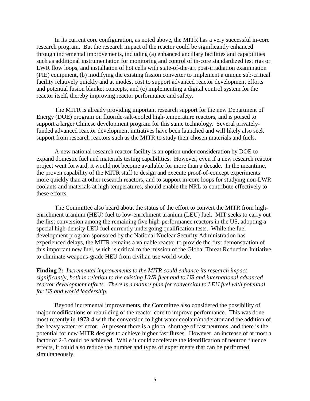In its current core configuration, as noted above, the MITR has a very successful in-core research program. But the research impact of the reactor could be significantly enhanced through incremental improvements, including (a) enhanced ancillary facilities and capabilities such as additional instrumentation for monitoring and control of in-core standardized test rigs or LWR flow loops, and installation of hot cells with state-of-the-art post-irradiation examination (PIE) equipment, (b) modifying the existing fission converter to implement a unique sub-critical facility relatively quickly and at modest cost to support advanced reactor development efforts and potential fusion blanket concepts, and (c) implementing a digital control system for the reactor itself, thereby improving reactor performance and safety.

The MITR is already providing important research support for the new Department of Energy (DOE) program on fluoride-salt-cooled high-temperature reactors, and is poised to support a larger Chinese development program for this same technology. Several privatelyfunded advanced reactor development initiatives have been launched and will likely also seek support from research reactors such as the MITR to study their chosen materials and fuels.

A new national research reactor facility is an option under consideration by DOE to expand domestic fuel and materials testing capabilities. However, even if a new research reactor project went forward, it would not become available for more than a decade. In the meantime, the proven capability of the MITR staff to design and execute proof-of-concept experiments more quickly than at other research reactors, and to support in-core loops for studying non-LWR coolants and materials at high temperatures, should enable the NRL to contribute effectively to these efforts.

The Committee also heard about the status of the effort to convert the MITR from highenrichment uranium (HEU) fuel to low-enrichment uranium (LEU) fuel. MIT seeks to carry out the first conversion among the remaining five high-performance reactors in the US, adopting a special high-density LEU fuel currently undergoing qualification tests. While the fuel development program sponsored by the National Nuclear Security Administration has experienced delays, the MITR remains a valuable reactor to provide the first demonstration of this important new fuel, which is critical to the mission of the Global Threat Reduction Initiative to eliminate weapons-grade HEU from civilian use world-wide.

**Finding 2:** *Incremental improvements to the MITR could enhance its research impact significantly, both in relation to the existing LWR fleet and to US and international advanced reactor development efforts. There is a mature plan for conversion to LEU fuel with potential for US and world leadership.*

Beyond incremental improvements, the Committee also considered the possibility of major modifications or rebuilding of the reactor core to improve performance. This was done most recently in 1973-4 with the conversion to light water coolant/moderator and the addition of the heavy water reflector. At present there is a global shortage of fast neutrons, and there is the potential for new MITR designs to achieve higher fast fluxes. However, an increase of at most a factor of 2-3 could be achieved. While it could accelerate the identification of neutron fluence effects, it could also reduce the number and types of experiments that can be performed simultaneously.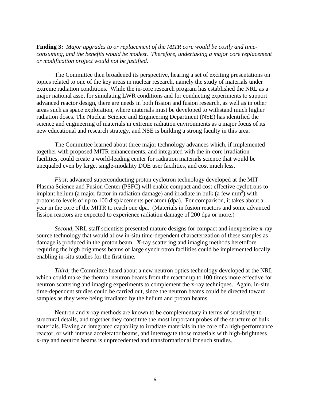**Finding 3:** *Major upgrades to or replacement of the MITR core would be costly and timeconsuming, and the benefits would be modest. Therefore, undertaking a major core replacement or modification project would not be justified.*

The Committee then broadened its perspective, hearing a set of exciting presentations on topics related to one of the key areas in nuclear research, namely the study of materials under extreme radiation conditions. While the in-core research program has established the NRL as a major national asset for simulating LWR conditions and for conducting experiments to support advanced reactor design, there are needs in both fission and fusion research, as well as in other areas such as space exploration, where materials must be developed to withstand much higher radiation doses. The Nuclear Science and Engineering Department (NSE) has identified the science and engineering of materials in extreme radiation environments as a major focus of its new educational and research strategy, and NSE is building a strong faculty in this area.

The Committee learned about three major technology advances which, if implemented together with proposed MITR enhancements, and integrated with the in-core irradiation facilities, could create a world-leading center for radiation materials science that would be unequaled even by large, single-modality DOE user facilities, and cost much less.

*First*, advanced superconducting proton cyclotron technology developed at the MIT Plasma Science and Fusion Center (PSFC) will enable compact and cost effective cyclotrons to implant helium (a major factor in radiation damage) and irradiate in bulk (a few mm<sup>3</sup>) with protons to levels of up to 100 displacements per atom (dpa). For comparison, it takes about a year in the core of the MITR to reach one dpa. (Materials in fusion reactors and some advanced fission reactors are expected to experience radiation damage of 200 dpa or more.)

*Second*, NRL staff scientists presented mature designs for compact and inexpensive x-ray source technology that would allow in-situ time-dependent characterization of these samples as damage is produced in the proton beam. X-ray scattering and imaging methods heretofore requiring the high brightness beams of large synchrotron facilities could be implemented locally, enabling in-situ studies for the first time.

*Third*, the Committee heard about a new neutron optics technology developed at the NRL which could make the thermal neutron beams from the reactor up to 100 times more effective for neutron scattering and imaging experiments to complement the x-ray techniques. Again, in-situ time-dependent studies could be carried out, since the neutron beams could be directed toward samples as they were being irradiated by the helium and proton beams.

Neutron and x-ray methods are known to be complementary in terms of sensitivity to structural details, and together they constitute the most important probes of the structure of bulk materials. Having an integrated capability to irradiate materials in the core of a high-performance reactor, or with intense accelerator beams, and interrogate those materials with high-brightness x-ray and neutron beams is unprecedented and transformational for such studies.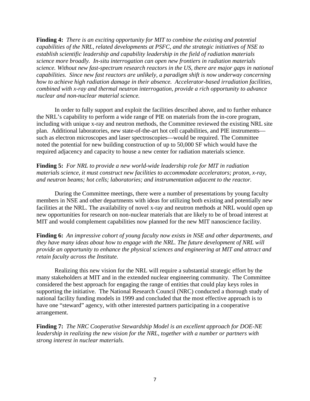**Finding 4:** *There is an exciting opportunity for MIT to combine the existing and potential capabilities of the NRL, related developments at PSFC, and the strategic initiatives of NSE to establish scientific leadership and capability leadership in the field of radiation materials science more broadly. In-situ interrogation can open new frontiers in radiation materials science. Without new fast-spectrum research reactors in the US, there are major gaps in national capabilities. Since new fast reactors are unlikely, a paradigm shift is now underway concerning how to achieve high radiation damage in their absence. Accelerator-based irradiation facilities, combined with x-ray and thermal neutron interrogation, provide a rich opportunity to advance nuclear and non-nuclear material science.*

In order to fully support and exploit the facilities described above, and to further enhance the NRL's capability to perform a wide range of PIE on materials from the in-core program, including with unique x-ray and neutron methods, the Committee reviewed the existing NRL site plan. Additional laboratories, new state-of-the-art hot cell capabilities, and PIE instruments such as electron microscopes and laser spectroscopies—would be required. The Committee noted the potential for new building construction of up to 50,000 SF which would have the required adjacency and capacity to house a new center for radiation materials science.

**Finding 5:** *For NRL to provide a new world-wide leadership role for MIT in radiation materials science, it must construct new facilities to accommodate accelerators; proton, x-ray, and neutron beams; hot cells; laboratories; and instrumentation adjacent to the reactor.* 

During the Committee meetings, there were a number of presentations by young faculty members in NSE and other departments with ideas for utilizing both existing and potentially new facilities at the NRL. The availability of novel x-ray and neutron methods at NRL would open up new opportunities for research on non-nuclear materials that are likely to be of broad interest at MIT and would complement capabilities now planned for the new MIT nanoscience facility.

**Finding 6:** *An impressive cohort of young faculty now exists in NSE and other departments, and they have many ideas about how to engage with the NRL. The future development of NRL will provide an opportunity to enhance the physical sciences and engineering at MIT and attract and retain faculty across the Institute.*

Realizing this new vision for the NRL will require a substantial strategic effort by the many stakeholders at MIT and in the extended nuclear engineering community. The Committee considered the best approach for engaging the range of entities that could play keys roles in supporting the initiative. The National Research Council (NRC) conducted a thorough study of national facility funding models in 1999 and concluded that the most effective approach is to have one "steward" agency, with other interested partners participating in a cooperative arrangement.

**Finding 7:** *The NRC Cooperative Stewardship Model is an excellent approach for DOE-NE leadership in realizing the new vision for the NRL, together with a number or partners with strong interest in nuclear materials.*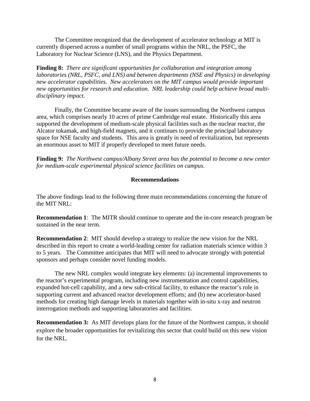The Committee recognized that the development of accelerator technology at MIT is currently dispersed across a number of small programs within the NRL, the PSFC, the Laboratory for Nuclear Science (LNS), and the Physics Department.

**Finding 8:** *There are significant opportunities for collaboration and integration among laboratories (NRL, PSFC, and LNS) and between departments (NSE and Physics) in developing new accelerator capabilities. New accelerators on the MIT campus would provide important new opportunities for research and education. NRL leadership could help achieve broad multidisciplinary impact.*

Finally, the Committee became aware of the issues surrounding the Northwest campus area, which comprises nearly 10 acres of prime Cambridge real estate. Historically this area supported the development of medium-scale physical facilities such as the nuclear reactor, the Alcator tokamak, and high-field magnets, and it continues to provide the principal laboratory space for NSE faculty and students. This area is greatly in need of revitalization, but represents an enormous asset to MIT if properly developed to meet future needs.

**Finding 9:** *The Northwest campus/Albany Street area has the potential to become a new center for medium-scale experimental physical science facilities on campus.*

#### **Recommendations**

The above findings lead to the following three main recommendations concerning the future of the MIT NRL:

**Recommendation 1**: The MITR should continue to operate and the in-core research program be sustained in the near term.

**Recommendation 2**: MIT should develop a strategy to realize the new vision for the NRL described in this report to create a world-leading center for radiation materials science within 3 to 5 years. The Committee anticipates that MIT will need to advocate strongly with potential sponsors and perhaps consider novel funding models.

The new NRL complex would integrate key elements: (a) incremental improvements to the reactor's experimental program, including new instrumentation and control capabilities, expanded hot-cell capability, and a new sub-critical facility, to enhance the reactor's role in supporting current and advanced reactor development efforts; and (b) new accelerator-based methods for creating high damage levels in materials together with in-situ x-ray and neutron interrogation methods and supporting laboratories and facilities.

**Recommendation 3:** As MIT develops plans for the future of the Northwest campus, it should explore the broader opportunities for revitalizing this sector that could build on this new vision for the NRL.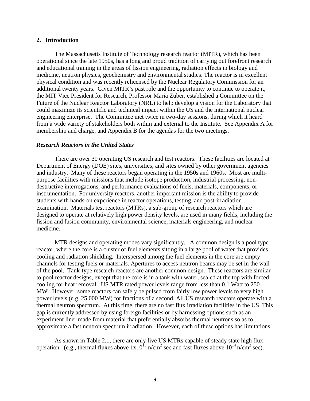#### **2. Introduction**

The Massachusetts Institute of Technology research reactor (MITR), which has been operational since the late 1950s, has a long and proud tradition of carrying out forefront research and educational training in the areas of fission engineering, radiation effects in biology and medicine, neutron physics, geochemistry and environmental studies. The reactor is in excellent physical condition and was recently relicensed by the Nuclear Regulatory Commission for an additional twenty years. Given MITR's past role and the opportunity to continue to operate it, the MIT Vice President for Research, Professor Maria Zuber, established a Committee on the Future of the Nuclear Reactor Laboratory (NRL) to help develop a vision for the Laboratory that could maximize its scientific and technical impact within the US and the international nuclear engineering enterprise. The Committee met twice in two-day sessions, during which it heard from a wide variety of stakeholders both within and external to the Institute. See Appendix A for membership and charge, and Appendix B for the agendas for the two meetings.

#### *Research Reactors in the United States*

There are over 30 operating US research and test reactors. These facilities are located at Department of Energy (DOE) sites, universities, and sites owned by other government agencies and industry. Many of these reactors began operating in the 1950s and 1960s. Most are multipurpose facilities with missions that include isotope production, industrial processing, nondestructive interrogations, and performance evaluations of fuels, materials, components, or instrumentation. For university reactors, another important mission is the ability to provide students with hands-on experience in reactor operations, testing, and post-irradiation examination. Materials test reactors (MTRs), a sub-group of research reactors which are designed to operate at relatively high power density levels, are used in many fields, including the fission and fusion community, environmental science, materials engineering, and nuclear medicine.

MTR designs and operating modes vary significantly. A common design is a pool type reactor, where the core is a cluster of fuel elements sitting in a large pool of water that provides cooling and radiation shielding. Interspersed among the fuel elements in the core are empty channels for testing fuels or materials. Apertures to access neutron beams may be set in the wall of the pool. Tank-type research reactors are another common design. These reactors are similar to pool reactor designs, except that the core is in a tank with water, sealed at the top with forced cooling for heat removal. US MTR rated power levels range from less than 0.1 Watt to 250 MW. However, some reactors can safely be pulsed from fairly low power levels to very high power levels (e.g. 25,000 MW) for fractions of a second. All US research reactors operate with a thermal neutron spectrum. At this time, there are no fast flux irradiation facilities in the US. This gap is currently addressed by using foreign facilities or by harnessing options such as an experiment liner made from material that preferentially absorbs thermal neutrons so as to approximate a fast neutron spectrum irradiation. However, each of these options has limitations.

As shown in Table 2.1, there are only five US MTRs capable of steady state high flux operation (e.g., thermal fluxes above  $1x10^{13}$  n/cm<sup>2</sup> sec and fast fluxes above  $10^{14}$  n/cm<sup>2</sup> sec).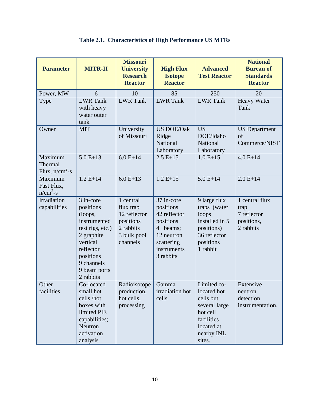| <b>Parameter</b>                       | <b>MITR-II</b>                                                                                                                                                       | <b>Missouri</b><br><b>University</b><br><b>Research</b><br><b>Reactor</b>                   | <b>High Flux</b><br><b>Isotope</b><br><b>Reactor</b>                                                                     | <b>Advanced</b><br><b>Test Reactor</b>                                                                                   | <b>National</b><br><b>Bureau of</b><br><b>Standards</b><br><b>Reactor</b> |
|----------------------------------------|----------------------------------------------------------------------------------------------------------------------------------------------------------------------|---------------------------------------------------------------------------------------------|--------------------------------------------------------------------------------------------------------------------------|--------------------------------------------------------------------------------------------------------------------------|---------------------------------------------------------------------------|
| Power, MW                              | 6                                                                                                                                                                    | 10                                                                                          | 85                                                                                                                       | 250                                                                                                                      | 20                                                                        |
| Type                                   | <b>LWR</b> Tank<br>with heavy<br>water outer<br>tank                                                                                                                 | <b>LWR</b> Tank                                                                             | <b>LWR</b> Tank                                                                                                          | <b>LWR</b> Tank                                                                                                          | Heavy Water<br>Tank                                                       |
| Owner                                  | <b>MIT</b>                                                                                                                                                           | University<br>of Missouri                                                                   | <b>US DOE/Oak</b><br>Ridge<br>National<br>Laboratory                                                                     | <b>US</b><br>DOE/Idaho<br>National<br>Laboratory                                                                         | <b>US</b> Department<br>of<br>Commerce/NIST                               |
| Maximum<br>Thermal<br>Flux, $n/cm^2-s$ | $5.0 E+13$                                                                                                                                                           | $6.0 E+14$                                                                                  | $2.5E+15$                                                                                                                | $1.0 E+15$                                                                                                               | $4.0 E+14$                                                                |
| Maximum<br>Fast Flux,<br>$n/cm2 - s$   | $1.2 E+14$                                                                                                                                                           | $6.0 E+13$                                                                                  | $1.2 E+15$                                                                                                               | $5.0 E+14$                                                                                                               | $2.0 E+14$                                                                |
| Irradiation<br>capabilities            | 3 in-core<br>positions<br>(loops,<br>instrumented<br>test rigs, etc.)<br>2 graphite<br>vertical<br>reflector<br>positions<br>9 channels<br>9 beam ports<br>2 rabbits | 1 central<br>flux trap<br>12 reflector<br>positions<br>2 rabbits<br>3 bulk pool<br>channels | 37 in-core<br>positions<br>42 reflector<br>positions<br>4 beams;<br>12 neutron<br>scattering<br>instruments<br>3 rabbits | 9 large flux<br>traps (water<br>loops<br>installed in 5<br>positions)<br>36 reflector<br>positions<br>1 rabbit           | 1 central flux<br>trap<br>7 reflector<br>positions,<br>2 rabbits          |
| Other<br>facilities                    | Co-located<br>small hot<br>cells /hot<br>boxes with<br>limited PIE<br>capabilities;<br>Neutron<br>activation<br>analysis                                             | Radioisotope   Gamma<br>production,<br>hot cells,<br>processing                             | irradiation hot<br>cells                                                                                                 | Limited co-<br>located hot<br>cells but<br>several large<br>hot cell<br>facilities<br>located at<br>nearby INL<br>sites. | Extensive<br>neutron<br>detection<br>instrumentation.                     |

## **Table 2.1. Characteristics of High Performance US MTRs**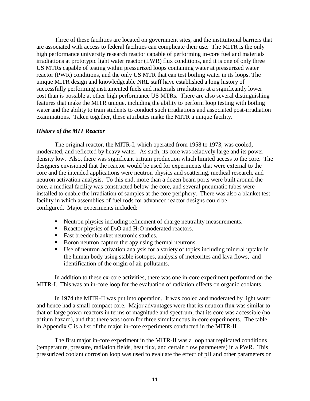Three of these facilities are located on government sites, and the institutional barriers that are associated with access to federal facilities can complicate their use. The MITR is the only high performance university research reactor capable of performing in-core fuel and materials irradiations at prototypic light water reactor (LWR) flux conditions, and it is one of only three US MTRs capable of testing within pressurized loops containing water at pressurized water reactor (PWR) conditions, and the only US MTR that can test boiling water in its loops. The unique MITR design and knowledgeable NRL staff have established a long history of successfully performing instrumented fuels and materials irradiations at a significantly lower cost than is possible at other high performance US MTRs. There are also several distinguishing features that make the MITR unique, including the ability to perform loop testing with boiling water and the ability to train students to conduct such irradiations and associated post-irradiation examinations. Taken together, these attributes make the MITR a unique facility.

#### *History of the MIT Reactor*

The original reactor, the MITR-I, which operated from 1958 to 1973, was cooled, moderated, and reflected by heavy water. As such, its core was relatively large and its power density low. Also, there was significant tritium production which limited access to the core. The designers envisioned that the reactor would be used for experiments that were external to the core and the intended applications were neutron physics and scattering, medical research, and neutron activation analysis. To this end, more than a dozen beam ports were built around the core, a medical facility was constructed below the core, and several pneumatic tubes were installed to enable the irradiation of samples at the core periphery. There was also a blanket test facility in which assemblies of fuel rods for advanced reactor designs could be configured. Major experiments included:

- Neutron physics including refinement of charge neutrality measurements.
- Reactor physics of  $D_2O$  and  $H_2O$  moderated reactors.
- Fast breeder blanket neutronic studies.
- Boron neutron capture therapy using thermal neutrons.
- Use of neutron activation analysis for a variety of topics including mineral uptake in the human body using stable isotopes, analysis of meteorites and lava flows, and identification of the origin of air pollutants.

In addition to these ex-core activities, there was one in-core experiment performed on the MITR-I. This was an in-core loop for the evaluation of radiation effects on organic coolants.

In 1974 the MITR-II was put into operation. It was cooled and moderated by light water and hence had a small compact core. Major advantages were that its neutron flux was similar to that of large power reactors in terms of magnitude and spectrum, that its core was accessible (no tritium hazard), and that there was room for three simultaneous in-core experiments. The table in Appendix C is a list of the major in-core experiments conducted in the MITR-II.

The first major in-core experiment in the MITR-II was a loop that replicated conditions (temperature, pressure, radiation fields, heat flux, and certain flow parameters) in a PWR. This pressurized coolant corrosion loop was used to evaluate the effect of pH and other parameters on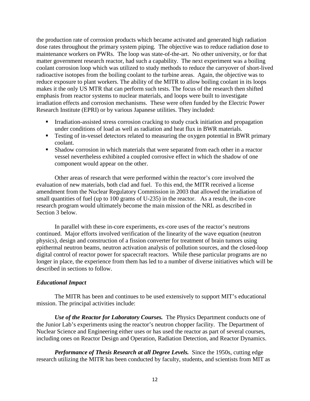the production rate of corrosion products which became activated and generated high radiation dose rates throughout the primary system piping. The objective was to reduce radiation dose to maintenance workers on PWRs. The loop was state-of-the-art. No other university, or for that matter government research reactor, had such a capability. The next experiment was a boiling coolant corrosion loop which was utilized to study methods to reduce the carryover of short-lived radioactive isotopes from the boiling coolant to the turbine areas. Again, the objective was to reduce exposure to plant workers. The ability of the MITR to allow boiling coolant in its loops makes it the only US MTR that can perform such tests. The focus of the research then shifted emphasis from reactor systems to nuclear materials, and loops were built to investigate irradiation effects and corrosion mechanisms. These were often funded by the Electric Power Research Institute (EPRI) or by various Japanese utilities. They included:

- Irradiation-assisted stress corrosion cracking to study crack initiation and propagation under conditions of load as well as radiation and heat flux in BWR materials.
- **Fig. 2.5** Testing of in-vessel detectors related to measuring the oxygen potential in BWR primary coolant.
- Shadow corrosion in which materials that were separated from each other in a reactor vessel nevertheless exhibited a coupled corrosive effect in which the shadow of one component would appear on the other.

Other areas of research that were performed within the reactor's core involved the evaluation of new materials, both clad and fuel. To this end, the MITR received a license amendment from the Nuclear Regulatory Commission in 2003 that allowed the irradiation of small quantities of fuel (up to 100 grams of U-235) in the reactor. As a result, the in-core research program would ultimately become the main mission of the NRL as described in Section 3 below.

In parallel with these in-core experiments, ex-core uses of the reactor's neutrons continued. Major efforts involved verification of the linearity of the wave equation (neutron physics), design and construction of a fission converter for treatment of brain tumors using epithermal neutron beams, neutron activation analysis of pollution sources, and the closed-loop digital control of reactor power for spacecraft reactors. While these particular programs are no longer in place, the experience from them has led to a number of diverse initiatives which will be described in sections to follow.

#### *Educational Impact*

The MITR has been and continues to be used extensively to support MIT's educational mission. The principal activities include:

*Use of the Reactor for Laboratory Courses.* The Physics Department conducts one of the Junior Lab's experiments using the reactor's neutron chopper facility. The Department of Nuclear Science and Engineering either uses or has used the reactor as part of several courses, including ones on Reactor Design and Operation, Radiation Detection, and Reactor Dynamics.

*Performance of Thesis Research at all Degree Levels.* Since the 1950s, cutting edge research utilizing the MITR has been conducted by faculty, students, and scientists from MIT as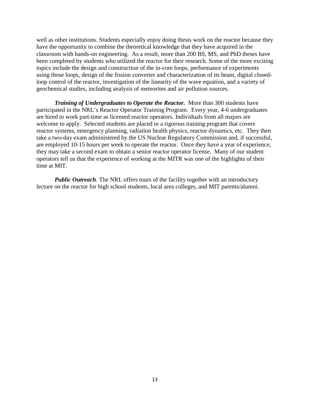well as other institutions. Students especially enjoy doing thesis work on the reactor because they have the opportunity to combine the theoretical knowledge that they have acquired in the classroom with hands-on engineering. As a result, more than 200 BS, MS, and PhD theses have been completed by students who utilized the reactor for their research. Some of the more exciting topics include the design and construction of the in-core loops, performance of experiments using those loops, design of the fission converter and characterization of its beam, digital closedloop control of the reactor, investigation of the linearity of the wave equation, and a variety of geochemical studies, including analysis of meteorites and air pollution sources.

*Training of Undergraduates to Operate the Reactor.* More than 300 students have participated in the NRL's Reactor Operator Training Program. Every year, 4-6 undergraduates are hired to work part-time as licensed reactor operators. Individuals from all majors are welcome to apply. Selected students are placed in a rigorous training program that covers reactor systems, emergency planning, radiation health physics, reactor dynamics, etc. They then take a two-day exam administered by the US Nuclear Regulatory Commission and, if successful, are employed 10-15 hours per week to operate the reactor. Once they have a year of experience, they may take a second exam to obtain a senior reactor operator license. Many of our student operators tell us that the experience of working at the MITR was one of the highlights of their time at MIT.

*Public Outreach.* The NRL offers tours of the facility together with an introductory lecture on the reactor for high school students, local area colleges, and MIT parents/alumni.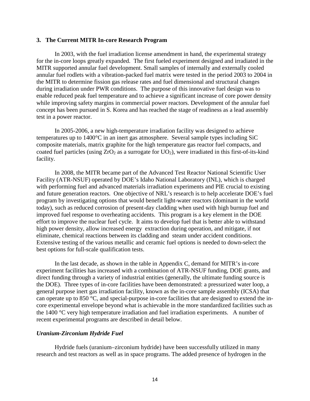#### **3. The Current MITR In-core Research Program**

In 2003, with the fuel irradiation license amendment in hand, the experimental strategy for the in-core loops greatly expanded. The first fueled experiment designed and irradiated in the MITR supported annular fuel development. Small samples of internally and externally cooled annular fuel rodlets with a vibration-packed fuel matrix were tested in the period 2003 to 2004 in the MITR to determine fission gas release rates and fuel dimensional and structural changes during irradiation under PWR conditions. The purpose of this innovative fuel design was to enable reduced peak fuel temperature and to achieve a significant increase of core power density while improving safety margins in commercial power reactors. Development of the annular fuel concept has been pursued in S. Korea and has reached the stage of readiness as a lead assembly test in a power reactor.

In 2005-2006, a new high-temperature irradiation facility was designed to achieve temperatures up to 1400°C in an inert gas atmosphere. Several sample types including SiC composite materials, matrix graphite for the high temperature gas reactor fuel compacts, and coated fuel particles (using  $ZrO<sub>2</sub>$  as a surrogate for  $UO<sub>2</sub>$ ), were irradiated in this first-of-its-kind facility.

In 2008, the MITR became part of the Advanced Test Reactor National Scientific User Facility (ATR-NSUF) operated by DOE's Idaho National Laboratory (INL), which is charged with performing fuel and advanced materials irradiation experiments and PIE crucial to existing and future generation reactors. One objective of NRL's research is to help accelerate DOE's fuel program by investigating options that would benefit light-water reactors (dominant in the world today), such as reduced corrosion of present-day cladding when used with high burnup fuel and improved fuel response to overheating accidents. This program is a key element in the DOE effort to improve the nuclear fuel cycle. It aims to develop fuel that is better able to withstand high power density, allow increased energy extraction during operation, and mitigate, if not eliminate, chemical reactions between its cladding and steam under accident conditions. Extensive testing of the various metallic and ceramic fuel options is needed to down-select the best options for full-scale qualification tests.

In the last decade, as shown in the table in Appendix C, demand for MITR's in-core experiment facilities has increased with a combination of ATR-NSUF funding, DOE grants, and direct funding through a variety of industrial entities (generally, the ultimate funding source is the DOE). Three types of in-core facilities have been demonstrated: a pressurized water loop, a general purpose inert gas irradiation facility, known as the in-core sample assembly (ICSA) that can operate up to 850 °C, and special-purpose in-core facilities that are designed to extend the incore experimental envelope beyond what is achievable in the more standardized facilities such as the 1400 °C very high temperature irradiation and fuel irradiation experiments. A number of recent experimental programs are described in detail below.

#### *Uranium-Zirconium Hydride Fuel*

Hydride fuels (uranium–zirconium hydride) have been successfully utilized in many research and test reactors as well as in space programs. The added presence of hydrogen in the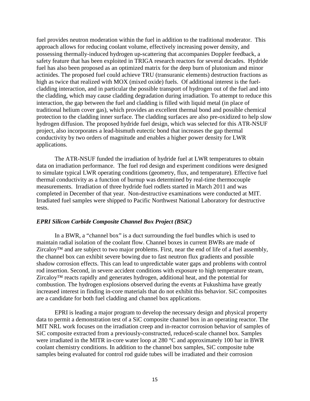fuel provides neutron moderation within the fuel in addition to the traditional moderator. This approach allows for reducing coolant volume, effectively increasing power density, and possessing thermally-induced hydrogen up-scattering that accompanies Doppler feedback, a safety feature that has been exploited in TRIGA research reactors for several decades. Hydride fuel has also been proposed as an optimized matrix for the deep burn of plutonium and minor actinides. The proposed fuel could achieve TRU (transuranic elements) destruction fractions as high as twice that realized with MOX (mixed oxide) fuels. Of additional interest is the fuelcladding interaction, and in particular the possible transport of hydrogen out of the fuel and into the cladding, which may cause cladding degradation during irradiation. To attempt to reduce this interaction, the gap between the fuel and cladding is filled with liquid metal (in place of traditional helium cover gas), which provides an excellent thermal bond and possible chemical protection to the cladding inner surface. The cladding surfaces are also pre-oxidized to help slow hydrogen diffusion. The proposed hydride fuel design, which was selected for this ATR-NSUF project, also incorporates a lead-bismuth eutectic bond that increases the gap thermal conductivity by two orders of magnitude and enables a higher power density for LWR applications.

The ATR-NSUF funded the irradiation of hydride fuel at LWR temperatures to obtain data on irradiation performance. The fuel rod design and experiment conditions were designed to simulate typical LWR operating conditions (geometry, flux, and temperature). Effective fuel thermal conductivity as a function of burnup was determined by real-time thermocouple measurements. Irradiation of three hydride fuel rodlets started in March 2011 and was completed in December of that year. Non-destructive examinations were conducted at MIT. Irradiated fuel samples were shipped to Pacific Northwest National Laboratory for destructive tests.

#### *EPRI Silicon Carbide Composite Channel Box Project (BSiC)*

In a BWR, a "channel box" is a duct surrounding the fuel bundles which is used to maintain radial isolation of the coolant flow. Channel boxes in current BWRs are made of Zircaloy<sup>™</sup> and are subject to two major problems. First, near the end of life of a fuel assembly, the channel box can exhibit severe bowing due to fast neutron flux gradients and possible shadow corrosion effects. This can lead to unpredictable water gaps and problems with control rod insertion. Second, in severe accident conditions with exposure to high temperature steam, Zircaloy™ reacts rapidly and generates hydrogen, additional heat, and the potential for combustion. The hydrogen explosions observed during the events at Fukushima have greatly increased interest in finding in-core materials that do not exhibit this behavior. SiC composites are a candidate for both fuel cladding and channel box applications.

EPRI is leading a major program to develop the necessary design and physical property data to permit a demonstration test of a SiC composite channel box in an operating reactor. The MIT NRL work focuses on the irradiation creep and in-reactor corrosion behavior of samples of SiC composite extracted from a previously-constructed, reduced-scale channel box. Samples were irradiated in the MITR in-core water loop at 280 °C and approximately 100 bar in BWR coolant chemistry conditions. In addition to the channel box samples, SiC composite tube samples being evaluated for control rod guide tubes will be irradiated and their corrosion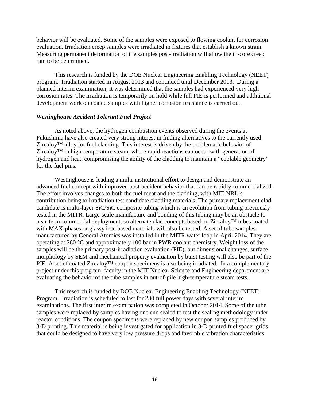behavior will be evaluated. Some of the samples were exposed to flowing coolant for corrosion evaluation. Irradiation creep samples were irradiated in fixtures that establish a known strain. Measuring permanent deformation of the samples post-irradiation will allow the in-core creep rate to be determined.

This research is funded by the DOE Nuclear Engineering Enabling Technology (NEET) program. Irradiation started in August 2013 and continued until December 2013. During a planned interim examination, it was determined that the samples had experienced very high corrosion rates. The irradiation is temporarily on hold while full PIE is performed and additional development work on coated samples with higher corrosion resistance is carried out.

#### *Westinghouse Accident Tolerant Fuel Project*

As noted above, the hydrogen combustion events observed during the events at Fukushima have also created very strong interest in finding alternatives to the currently used Zircaloy™ alloy for fuel cladding. This interest is driven by the problematic behavior of Zircaloy™ in high-temperature steam, where rapid reactions can occur with generation of hydrogen and heat, compromising the ability of the cladding to maintain a "coolable geometry" for the fuel pins.

Westinghouse is leading a multi-institutional effort to design and demonstrate an advanced fuel concept with improved post-accident behavior that can be rapidly commercialized. The effort involves changes to both the fuel meat and the cladding, with MIT-NRL's contribution being to irradiation test candidate cladding materials. The primary replacement clad candidate is multi-layer SiC/SiC composite tubing which is an evolution from tubing previously tested in the MITR. Large-scale manufacture and bonding of this tubing may be an obstacle to near-term commercial deployment, so alternate clad concepts based on Zircaloy™ tubes coated with MAX-phases or glassy iron based materials will also be tested. A set of tube samples manufactured by General Atomics was installed in the MITR water loop in April 2014. They are operating at 280 °C and approximately 100 bar in PWR coolant chemistry. Weight loss of the samples will be the primary post-irradiation evaluation (PIE), but dimensional changes, surface morphology by SEM and mechanical property evaluation by burst testing will also be part of the PIE. A set of coated Zircaloy™ coupon specimens is also being irradiated. In a complementary project under this program, faculty in the MIT Nuclear Science and Engineering department are evaluating the behavior of the tube samples in out-of-pile high-temperature steam tests.

This research is funded by DOE Nuclear Engineering Enabling Technology (NEET) Program. Irradiation is scheduled to last for 230 full power days with several interim examinations. The first interim examination was completed in October 2014. Some of the tube samples were replaced by samples having one end sealed to test the sealing methodology under reactor conditions. The coupon specimens were replaced by new coupon samples produced by 3-D printing. This material is being investigated for application in 3-D printed fuel spacer grids that could be designed to have very low pressure drops and favorable vibration characteristics.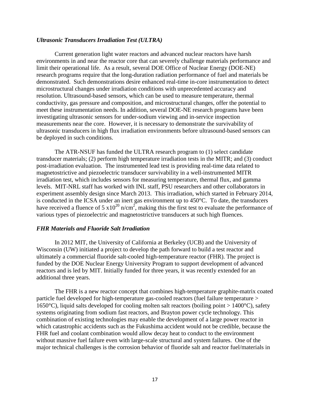#### *Ultrasonic Transducers Irradiation Test (ULTRA)*

Current generation light water reactors and advanced nuclear reactors have harsh environments in and near the reactor core that can severely challenge materials performance and limit their operational life. As a result, several DOE Office of Nuclear Energy (DOE-NE) research programs require that the long-duration radiation performance of fuel and materials be demonstrated. Such demonstrations desire enhanced real-time in-core instrumentation to detect microstructural changes under irradiation conditions with unprecedented accuracy and resolution. Ultrasound-based sensors, which can be used to measure temperature, thermal conductivity, gas pressure and composition, and microstructural changes, offer the potential to meet these instrumentation needs. In addition, several DOE-NE research programs have been investigating ultrasonic sensors for under-sodium viewing and in-service inspection measurements near the core. However, it is necessary to demonstrate the survivability of ultrasonic transducers in high flux irradiation environments before ultrasound-based sensors can be deployed in such conditions.

The ATR-NSUF has funded the ULTRA research program to (1) select candidate transducer materials; (2) perform high temperature irradiation tests in the MITR; and (3) conduct post-irradiation evaluation. The instrumented lead test is providing real-time data related to magnetostrictive and piezoelectric transducer survivability in a well-instrumented MITR irradiation test, which includes sensors for measuring temperature, thermal flux, and gamma levels. MIT-NRL staff has worked with INL staff, PSU researchers and other collaborators in experiment assembly design since March 2013. This irradiation, which started in February 2014, is conducted in the ICSA under an inert gas environment up to 450°C. To date, the transducers have received a fluence of 5  $x10^{20}$  n/cm<sup>2</sup>, making this the first test to evaluate the performance of various types of piezoelectric and magnetostrictive transducers at such high fluences.

#### *FHR Materials and Fluoride Salt Irradiation*

In 2012 MIT, the University of California at Berkeley (UCB) and the University of Wisconsin (UW) initiated a project to develop the path forward to build a test reactor and ultimately a commercial fluoride salt-cooled high-temperature reactor (FHR). The project is funded by the DOE Nuclear Energy University Program to support development of advanced reactors and is led by MIT. Initially funded for three years, it was recently extended for an additional three years.

The FHR is a new reactor concept that combines high-temperature graphite-matrix coated particle fuel developed for high-temperature gas-cooled reactors (fuel failure temperature > 1650 $^{\circ}$ C), liquid salts developed for cooling molten salt reactors (boiling point > 1400 $^{\circ}$ C), safety systems originating from sodium fast reactors, and Brayton power cycle technology. This combination of existing technologies may enable the development of a large power reactor in which catastrophic accidents such as the Fukushima accident would not be credible, because the FHR fuel and coolant combination would allow decay heat to conduct to the environment without massive fuel failure even with large-scale structural and system failures. One of the major technical challenges is the corrosion behavior of fluoride salt and reactor fuel/materials in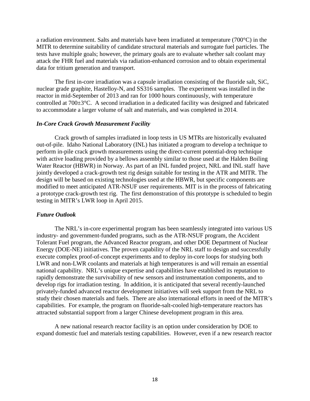a radiation environment. Salts and materials have been irradiated at temperature (700°C) in the MITR to determine suitability of candidate structural materials and surrogate fuel particles. The tests have multiple goals; however, the primary goals are to evaluate whether salt coolant may attack the FHR fuel and materials via radiation-enhanced corrosion and to obtain experimental data for tritium generation and transport.

The first in-core irradiation was a capsule irradiation consisting of the fluoride salt, SiC, nuclear grade graphite, Hastelloy-N, and SS316 samples. The experiment was installed in the reactor in mid-September of 2013 and ran for 1000 hours continuously, with temperature controlled at 700±3°C. A second irradiation in a dedicated facility was designed and fabricated to accommodate a larger volume of salt and materials, and was completed in 2014.

#### *In-Core Crack Growth Measurement Facility*

Crack growth of samples irradiated in loop tests in US MTRs are historically evaluated out-of-pile. Idaho National Laboratory (INL) has initiated a program to develop a technique to perform in-pile crack growth measurements using the direct-current potential-drop technique with active loading provided by a bellows assembly similar to those used at the Halden Boiling Water Reactor (HBWR) in Norway. As part of an INL funded project, NRL and INL staff have jointly developed a crack-growth test rig design suitable for testing in the ATR and MITR. The design will be based on existing technologies used at the HBWR, but specific components are modified to meet anticipated ATR-NSUF user requirements. MIT is in the process of fabricating a prototype crack-growth test rig. The first demonstration of this prototype is scheduled to begin testing in MITR's LWR loop in April 2015.

#### *Future Outlook*

The NRL's in-core experimental program has been seamlessly integrated into various US industry- and government-funded programs, such as the ATR-NSUF program, the Accident Tolerant Fuel program, the Advanced Reactor program, and other DOE Department of Nuclear Energy (DOE-NE) initiatives. The proven capability of the NRL staff to design and successfully execute complex proof-of-concept experiments and to deploy in-core loops for studying both LWR and non-LWR coolants and materials at high temperatures is and will remain an essential national capability. NRL's unique expertise and capabilities have established its reputation to rapidly demonstrate the survivability of new sensors and instrumentation components, and to develop rigs for irradiation testing. In addition, it is anticipated that several recently-launched privately-funded advanced reactor development initiatives will seek support from the NRL to study their chosen materials and fuels. There are also international efforts in need of the MITR's capabilities. For example, the program on fluoride-salt-cooled high-temperature reactors has attracted substantial support from a larger Chinese development program in this area.

A new national research reactor facility is an option under consideration by DOE to expand domestic fuel and materials testing capabilities. However, even if a new research reactor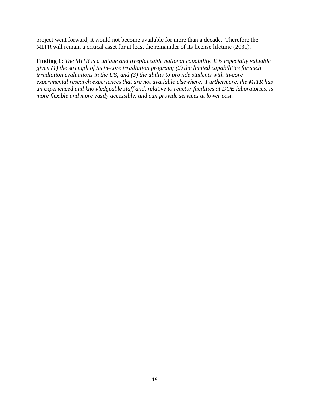project went forward, it would not become available for more than a decade. Therefore the MITR will remain a critical asset for at least the remainder of its license lifetime (2031).

**Finding 1:** *The MITR is a unique and irreplaceable national capability. It is especially valuable given (1) the strength of its in-core irradiation program; (2) the limited capabilities for such irradiation evaluations in the US; and (3) the ability to provide students with in-core experimental research experiences that are not available elsewhere. Furthermore, the MITR has an experienced and knowledgeable staff and, relative to reactor facilities at DOE laboratories, is more flexible and more easily accessible, and can provide services at lower cost.*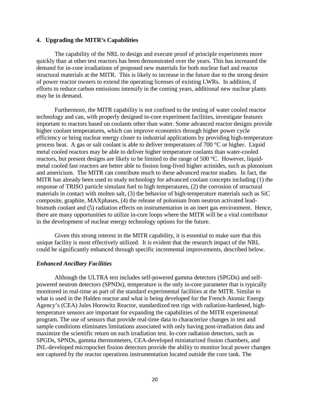#### **4. Upgrading the MITR's Capabilities**

The capability of the NRL to design and execute proof of principle experiments more quickly than at other test reactors has been demonstrated over the years. This has increased the demand for in-core irradiations of proposed new materials for both nuclear fuel and reactor structural materials at the MITR. This is likely to increase in the future due to the strong desire of power reactor owners to extend the operating licenses of existing LWRs. In addition, if efforts to reduce carbon emissions intensify in the coming years, additional new nuclear plants may be in demand.

Furthermore, the MITR capability is not confined to the testing of water cooled reactor technology and can, with properly designed in-core experiment facilities, investigate features important to reactors based on coolants other than water. Some advanced reactor designs provide higher coolant temperatures, which can improve economics through higher power cycle efficiency or bring nuclear energy closer to industrial applications by providing high-temperature process heat. A gas or salt coolant is able to deliver temperatures of 700 °C or higher. Liquid metal cooled reactors may be able to deliver higher temperature coolants than water-cooled reactors, but present designs are likely to be limited to the range of 500 °C. However, liquidmetal cooled fast reactors are better able to fission long-lived higher actinides, such as plutonium and americium. The MITR can contribute much to these advanced reactor studies. In fact, the MITR has already been used to study technology for advanced coolant concepts including (1) the response of TRISO particle simulant fuel to high temperatures, (2) the corrosion of structural materials in contact with molten salt, (3) the behavior of high-temperature materials such as SiC composite, graphite, MAXphases, (4) the release of polonium from neutron activated leadbismuth coolant and (5) radiation effects on instrumentation in an inert gas environment. Hence, there are many opportunities to utilize in-core loops where the MITR will be a vital contributor in the development of nuclear energy technology options for the future.

Given this strong interest in the MITR capability, it is essential to make sure that this unique facility is most effectively utilized. It is evident that the research impact of the NRL could be significantly enhanced through specific incremental improvements, described below.

#### *Enhanced Ancillary Facilities*

Although the ULTRA test includes self-powered gamma detectors (SPGDs) and selfpowered neutron detectors (SPNDs), temperature is the only in-core parameter that is typically monitored in real-time as part of the standard experimental facilities at the MITR. Similar to what is used in the Halden reactor and what is being developed for the French Atomic Energy Agency's (CEA) Jules Horowitz Reactor, standardized test rigs with radiation-hardened, hightemperature sensors are important for expanding the capabilities of the MITR experimental program. The use of sensors that provide real-time data to characterize changes in test and sample conditions eliminates limitations associated with only having post-irradiation data and maximize the scientific return on each irradiation test. In-core radiation detectors, such as SPGDs, SPNDs, gamma thermometers, CEA-developed miniaturized fission chambers, and INL-developed micropocket fission detectors provide the ability to monitor local power changes not captured by the reactor operations instrumentation located outside the core tank. The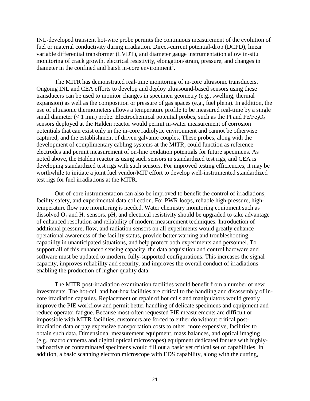INL-developed transient hot-wire probe permits the continuous measurement of the evolution of fuel or material conductivity during irradiation. Direct-current potential-drop (DCPD), linear variable differential transformer (LVDT), and diameter gauge instrumentation allow in-situ monitoring of crack growth, electrical resistivity, elongation/strain, pressure, and changes in diameter in the confined and harsh in-core environment<sup>[1](#page-57-0)</sup>.

The MITR has demonstrated real-time monitoring of in-core ultrasonic transducers. Ongoing INL and CEA efforts to develop and deploy ultrasound-based sensors using these transducers can be used to monitor changes in specimen geometry (e.g., swelling, thermal expansion) as well as the composition or pressure of gas spaces (e.g., fuel plena). In addition, the use of ultrasonic thermometers allows a temperature profile to be measured real-time by a single small diameter ( $< 1$  mm) probe. Electrochemical potential probes, such as the Pt and Fe/Fe<sub>3</sub>O<sub>4</sub> sensors deployed at the Halden reactor would permit in-water measurement of corrosion potentials that can exist only in the in-core radiolytic environment and cannot be otherwise captured, and the establishment of driven galvanic couples. These probes, along with the development of complimentary cabling systems at the MITR, could function as reference electrodes and permit measurement of on-line oxidation potentials for future specimens. As noted above, the Halden reactor is using such sensors in standardized test rigs, and CEA is developing standardized test rigs with such sensors. For improved testing efficiencies, it may be worthwhile to initiate a joint fuel vendor/MIT effort to develop well-instrumented standardized test rigs for fuel irradiations at the MITR.

Out-of-core instrumentation can also be improved to benefit the control of irradiations, facility safety, and experimental data collection. For PWR loops, reliable high-pressure, hightemperature flow rate monitoring is needed. Water chemistry monitoring equipment such as dissolved  $O_2$  and  $H_2$  sensors, pH, and electrical resistivity should be upgraded to take advantage of enhanced resolution and reliability of modern measurement techniques. Introduction of additional pressure, flow, and radiation sensors on all experiments would greatly enhance operational awareness of the facility status, provide better warning and troubleshooting capability in unanticipated situations, and help protect both experiments and personnel. To support all of this enhanced sensing capacity, the data acquisition and control hardware and software must be updated to modern, fully-supported configurations. This increases the signal capacity, improves reliability and security, and improves the overall conduct of irradiations enabling the production of higher-quality data.

The MITR post-irradiation examination facilities would benefit from a number of new investments. The hot-cell and hot-box facilities are critical to the handling and disassembly of incore irradiation capsules. Replacement or repair of hot cells and manipulators would greatly improve the PIE workflow and permit better handling of delicate specimens and equipment and reduce operator fatigue. Because most-often requested PIE measurements are difficult or impossible with MITR facilities, customers are forced to either do without critical postirradiation data or pay expensive transportation costs to other, more expensive, facilities to obtain such data. Dimensional measurement equipment, mass balances, and optical imaging (e.g., macro cameras and digital optical microscopes) equipment dedicated for use with highlyradioactive or contaminated specimens would fill out a basic yet critical set of capabilities. In addition, a basic scanning electron microscope with EDS capability, along with the cutting,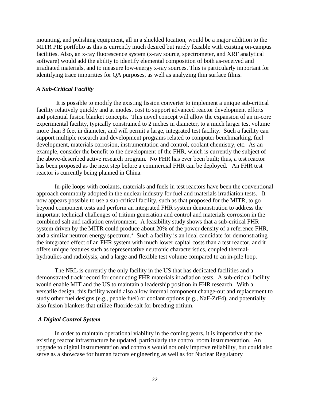mounting, and polishing equipment, all in a shielded location, would be a major addition to the MITR PIE portfolio as this is currently much desired but rarely feasible with existing on-campus facilities. Also, an x-ray fluorescence system (x-ray source, spectrometer, and XRF analytical software) would add the ability to identify elemental composition of both as-received and irradiated materials, and to measure low-energy x-ray sources. This is particularly important for identifying trace impurities for QA purposes, as well as analyzing thin surface films.

#### *A Sub-Critical Facility*

It is possible to modify the existing fission converter to implement a unique sub-critical facility relatively quickly and at modest cost to support advanced reactor development efforts and potential fusion blanket concepts. This novel concept will allow the expansion of an in-core experimental facility, typically constrained to 2 inches in diameter, to a much larger test volume more than 3 feet in diameter, and will permit a large, integrated test facility. Such a facility can support multiple research and development programs related to computer benchmarking, fuel development, materials corrosion, instrumentation and control, coolant chemistry, etc. As an example, consider the benefit to the development of the FHR, which is currently the subject of the above-described active research program. No FHR has ever been built; thus, a test reactor has been proposed as the next step before a commercial FHR can be deployed. An FHR test reactor is currently being planned in China.

In-pile loops with coolants, materials and fuels in test reactors have been the conventional approach commonly adopted in the nuclear industry for fuel and materials irradiation tests. It now appears possible to use a sub-critical facility, such as that proposed for the MITR, to go beyond component tests and perform an integrated FHR system demonstration to address the important technical challenges of tritium generation and control and materials corrosion in the combined salt and radiation environment. A feasibility study shows that a sub-critical FHR system driven by the MITR could produce about 20% of the power density of a reference FHR, and a similar neutron energy spectrum.<sup>[2](#page-57-1)</sup> Such a facility is an ideal candidate for demonstrating the integrated effect of an FHR system with much lower capital costs than a test reactor, and it offers unique features such as representative neutronic characteristics, coupled thermalhydraulics and radiolysis, and a large and flexible test volume compared to an in-pile loop.

The NRL is currently the only facility in the US that has dedicated facilities and a demonstrated track record for conducting FHR materials irradiation tests. A sub-critical facility would enable MIT and the US to maintain a leadership position in FHR research. With a versatile design, this facility would also allow internal component change-out and replacement to study other fuel designs (e.g., pebble fuel) or coolant options (e.g., NaF-ZrF4), and potentially also fusion blankets that utilize fluoride salt for breeding tritium.

#### *A Digital Control System*

In order to maintain operational viability in the coming years, it is imperative that the existing reactor infrastructure be updated, particularly the control room instrumentation. An upgrade to digital instrumentation and controls would not only improve reliability, but could also serve as a showcase for human factors engineering as well as for Nuclear Regulatory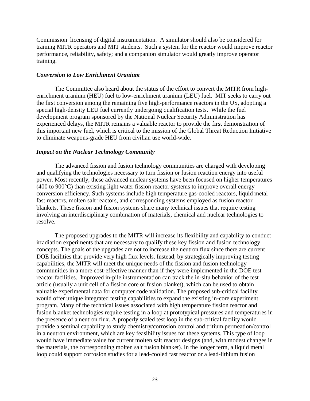Commission licensing of digital instrumentation. A simulator should also be considered for training MITR operators and MIT students. Such a system for the reactor would improve reactor performance, reliability, safety; and a companion simulator would greatly improve operator training.

#### *Conversion to Low Enrichment Uranium*

The Committee also heard about the status of the effort to convert the MITR from highenrichment uranium (HEU) fuel to low-enrichment uranium (LEU) fuel. MIT seeks to carry out the first conversion among the remaining five high-performance reactors in the US, adopting a special high-density LEU fuel currently undergoing qualification tests. While the fuel development program sponsored by the National Nuclear Security Administration has experienced delays, the MITR remains a valuable reactor to provide the first demonstration of this important new fuel, which is critical to the mission of the Global Threat Reduction Initiative to eliminate weapons-grade HEU from civilian use world-wide.

#### *Impact on the Nuclear Technology Community*

The advanced fission and fusion technology communities are charged with developing and qualifying the technologies necessary to turn fission or fusion reaction energy into useful power. Most recently, these advanced nuclear systems have been focused on higher temperatures (400 to 900°C) than existing light water fission reactor systems to improve overall energy conversion efficiency. Such systems include high temperature gas-cooled reactors, liquid metal fast reactors, molten salt reactors, and corresponding systems employed as fusion reactor blankets. These fission and fusion systems share many technical issues that require testing involving an interdisciplinary combination of materials, chemical and nuclear technologies to resolve.

The proposed upgrades to the MITR will increase its flexibility and capability to conduct irradiation experiments that are necessary to qualify these key fission and fusion technology concepts. The goals of the upgrades are not to increase the neutron flux since there are current DOE facilities that provide very high flux levels. Instead, by strategically improving testing capabilities, the MITR will meet the unique needs of the fission and fusion technology communities in a more cost-effective manner than if they were implemented in the DOE test reactor facilities. Improved in-pile instrumentation can track the in-situ behavior of the test article (usually a unit cell of a fission core or fusion blanket), which can be used to obtain valuable experimental data for computer code validation. The proposed sub-critical facility would offer unique integrated testing capabilities to expand the existing in-core experiment program. Many of the technical issues associated with high temperature fission reactor and fusion blanket technologies require testing in a loop at prototypical pressures and temperatures in the presence of a neutron flux. A properly scaled test loop in the sub-critical facility would provide a seminal capability to study chemistry/corrosion control and tritium permeation/control in a neutron environment, which are key feasibility issues for these systems. This type of loop would have immediate value for current molten salt reactor designs (and, with modest changes in the materials, the corresponding molten salt fusion blanket). In the longer term, a liquid metal loop could support corrosion studies for a lead-cooled fast reactor or a lead-lithium fusion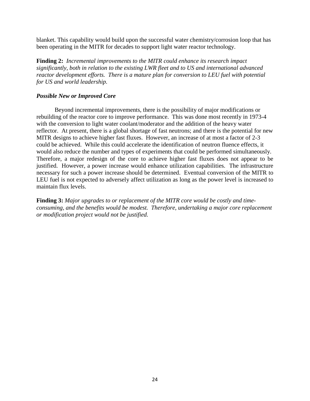blanket. This capability would build upon the successful water chemistry/corrosion loop that has been operating in the MITR for decades to support light water reactor technology.

**Finding 2:** *Incremental improvements to the MITR could enhance its research impact significantly, both in relation to the existing LWR fleet and to US and international advanced reactor development efforts. There is a mature plan for conversion to LEU fuel with potential for US and world leadership.*

### *Possible New or Improved Core*

Beyond incremental improvements, there is the possibility of major modifications or rebuilding of the reactor core to improve performance. This was done most recently in 1973-4 with the conversion to light water coolant/moderator and the addition of the heavy water reflector. At present, there is a global shortage of fast neutrons; and there is the potential for new MITR designs to achieve higher fast fluxes. However, an increase of at most a factor of 2-3 could be achieved. While this could accelerate the identification of neutron fluence effects, it would also reduce the number and types of experiments that could be performed simultaneously. Therefore, a major redesign of the core to achieve higher fast fluxes does not appear to be justified. However, a power increase would enhance utilization capabilities. The infrastructure necessary for such a power increase should be determined. Eventual conversion of the MITR to LEU fuel is not expected to adversely affect utilization as long as the power level is increased to maintain flux levels.

**Finding 3:** *Major upgrades to or replacement of the MITR core would be costly and timeconsuming, and the benefits would be modest. Therefore, undertaking a major core replacement or modification project would not be justified.*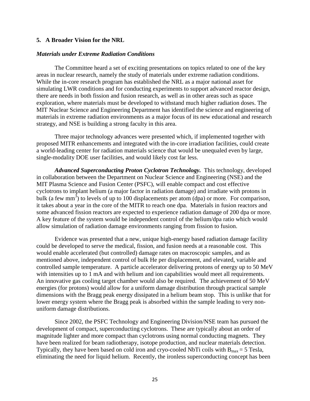#### **5. A Broader Vision for the NRL**

#### *Materials under Extreme Radiation Conditions*

The Committee heard a set of exciting presentations on topics related to one of the key areas in nuclear research, namely the study of materials under extreme radiation conditions. While the in-core research program has established the NRL as a major national asset for simulating LWR conditions and for conducting experiments to support advanced reactor design, there are needs in both fission and fusion research, as well as in other areas such as space exploration, where materials must be developed to withstand much higher radiation doses. The MIT Nuclear Science and Engineering Department has identified the science and engineering of materials in extreme radiation environments as a major focus of its new educational and research strategy, and NSE is building a strong faculty in this area.

Three major technology advances were presented which, if implemented together with proposed MITR enhancements and integrated with the in-core irradiation facilities, could create a world-leading center for radiation materials science that would be unequaled even by large, single-modality DOE user facilities, and would likely cost far less.

*Advanced Superconducting Proton Cyclotron Technology.* This technology, developed in collaboration between the Department on Nuclear Science and Engineering (NSE) and the MIT Plasma Science and Fusion Center (PSFC), will enable compact and cost effective cyclotrons to implant helium (a major factor in radiation damage) and irradiate with protons in bulk (a few mm<sup>3</sup>) to levels of up to 100 displacements per atom (dpa) or more. For comparison, it takes about a year in the core of the MITR to reach one dpa. Materials in fusion reactors and some advanced fission reactors are expected to experience radiation damage of 200 dpa or more. A key feature of the system would be independent control of the helium/dpa ratio which would allow simulation of radiation damage environments ranging from fission to fusion.

Evidence was presented that a new, unique high-energy based radiation damage facility could be developed to serve the medical, fission, and fusion needs at a reasonable cost. This would enable accelerated (but controlled) damage rates on macroscopic samples, and as mentioned above, independent control of bulk He per displacement, and elevated, variable and controlled sample temperature. A particle accelerator delivering protons of energy up to 50 MeV with intensities up to 1 mA and with helium and ion capabilities would meet all requirements. An innovative gas cooling target chamber would also be required. The achievement of 50 MeV energies (for protons) would allow for a uniform damage distribution through practical sample dimensions with the Bragg peak energy dissipated in a helium beam stop. This is unlike that for lower energy system where the Bragg peak is absorbed within the sample leading to very nonuniform damage distributions.

Since 2002, the PSFC Technology and Engineering Division/NSE team has pursued the development of compact, superconducting cyclotrons. These are typically about an order of magnitude lighter and more compact than cyclotrons using normal conducting magnets. They have been realized for beam radiotherapy, isotope production, and nuclear materials detection. Typically, they have been based on cold iron and cryo-cooled NbTi coils with  $B_{max} = 5$  Tesla, eliminating the need for liquid helium. Recently, the ironless superconducting concept has been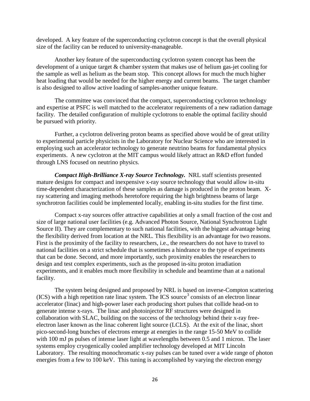developed. A key feature of the superconducting cyclotron concept is that the overall physical size of the facility can be reduced to university-manageable.

Another key feature of the superconducting cyclotron system concept has been the development of a unique target & chamber system that makes use of helium gas-jet cooling for the sample as well as helium as the beam stop. This concept allows for much the much higher heat loading that would be needed for the higher energy and current beams. The target chamber is also designed to allow active loading of samples-another unique feature.

The committee was convinced that the compact, superconducting cyclotron technology and expertise at PSFC is well matched to the accelerator requirements of a new radiation damage facility. The detailed configuration of multiple cyclotrons to enable the optimal facility should be pursued with priority.

Further, a cyclotron delivering proton beams as specified above would be of great utility to experimental particle physicists in the Laboratory for Nuclear Science who are interested in employing such an accelerator technology to generate neutrino beams for fundamental physics experiments. A new cyclotron at the MIT campus would likely attract an R&D effort funded through LNS focused on neutrino physics.

*Compact High-Brilliance X-ray Source Technology.* NRL staff scientists presented mature designs for compact and inexpensive x-ray source technology that would allow in-situ time-dependent characterization of these samples as damage is produced in the proton beam. Xray scattering and imaging methods heretofore requiring the high brightness beams of large synchrotron facilities could be implemented locally, enabling in-situ studies for the first time.

Compact x-ray sources offer attractive capabilities at only a small fraction of the cost and size of large national user facilities (e.g. Advanced Photon Source, National Synchrotron Light Source II). They are complementary to such national facilities, with the biggest advantage being the flexibility derived from location at the NRL. This flexibility is an advantage for two reasons. First is the proximity of the facility to researchers, i.e., the researchers do not have to travel to national facilities on a strict schedule that is sometimes a hindrance to the type of experiments that can be done. Second, and more importantly, such proximity enables the researchers to design and test complex experiments, such as the proposed in-situ proton irradiation experiments, and it enables much more flexibility in schedule and beamtime than at a national facility.

The system being designed and proposed by NRL is based on inverse-Compton scattering  $(ICS)$  with a high repetition rate linac system. The ICS source<sup>[3](#page-57-2)</sup> consists of an electron linear accelerator (linac) and high-power laser each producing short pulses that collide head-on to generate intense x-rays. The linac and photoinjector RF structures were designed in collaboration with SLAC, building on the success of the technology behind their x-ray freeelectron laser known as the linac coherent light source (LCLS). At the exit of the linac, short pico-second-long bunches of electrons emerge at energies in the range 15-50 MeV to collide with 100 mJ ps pulses of intense laser light at wavelengths between 0.5 and 1 micron. The laser systems employ cryogenically cooled amplifier technology developed at MIT Lincoln Laboratory. The resulting monochromatic x-ray pulses can be tuned over a wide range of photon energies from a few to 100 keV. This tuning is accomplished by varying the electron energy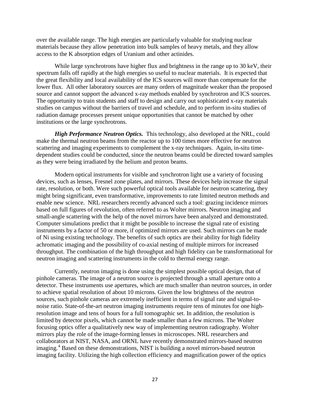over the available range. The high energies are particularly valuable for studying nuclear materials because they allow penetration into bulk samples of heavy metals, and they allow access to the K absorption edges of Uranium and other actinides.

While large synchrotrons have higher flux and brightness in the range up to 30 keV, their spectrum falls off rapidly at the high energies so useful to nuclear materials. It is expected that the great flexibility and local availability of the ICS sources will more than compensate for the lower flux. All other laboratory sources are many orders of magnitude weaker than the proposed source and cannot support the advanced x-ray methods enabled by synchrotron and ICS sources. The opportunity to train students and staff to design and carry out sophisticated x-ray materials studies on campus without the barriers of travel and schedule, and to perform in-situ studies of radiation damage processes present unique opportunities that cannot be matched by other institutions or the large synchrotrons.

*High Performance Neutron Optics.* This technology, also developed at the NRL, could make the thermal neutron beams from the reactor up to 100 times more effective for neutron scattering and imaging experiments to complement the x-ray techniques. Again, in-situ timedependent studies could be conducted, since the neutron beams could be directed toward samples as they were being irradiated by the helium and proton beams.

Modern optical instruments for visible and synchrotron light use a variety of focusing devices, such as lenses, Fresnel zone plates, and mirrors. These devices help increase the signal rate, resolution, or both. Were such powerful optical tools available for neutron scattering, they might bring significant, even transformative, improvements to rate limited neutron methods and enable new science. NRL researchers recently advanced such a tool: grazing incidence mirrors based on full figures of revolution, often referred to as Wolter mirrors. Neutron imaging and small-angle scattering with the help of the novel mirrors have been analyzed and demonstrated. Computer simulations predict that it might be possible to increase the signal rate of existing instruments by a factor of 50 or more, if optimized mirrors are used. Such mirrors can be made of Ni using existing technology. The benefits of such optics are their ability for high fidelity achromatic imaging and the possibility of co-axial nesting of multiple mirrors for increased throughput. The combination of the high throughput and high fidelity can be transformational for neutron imaging and scattering instruments in the cold to thermal energy range.

Currently, neutron imaging is done using the simplest possible optical design, that of pinhole cameras. The image of a neutron source is projected through a small aperture onto a detector. These instruments use apertures, which are much smaller than neutron sources, in order to achieve spatial resolution of about 10 microns. Given the low brightness of the neutron sources, such pinhole cameras are extremely inefficient in terms of signal rate and signal-tonoise ratio. State-of-the-art neutron imaging instruments require tens of minutes for one highresolution image and tens of hours for a full tomographic set. In addition, the resolution is limited by detector pixels, which cannot be made smaller than a few microns. The Wolter focusing optics offer a qualitatively new way of implementing neutron radiography. Wolter mirrors play the role of the image-forming lenses in microscopes. NRL researchers and collaborators at NIST, NASA, and ORNL have recently demonstrated mirrors-based neutron imaging.<sup>[4](#page-57-3)</sup> Based on these demonstrations, NIST is building a novel mirrors-based neutron imaging facility. Utilizing the high collection efficiency and magnification power of the optics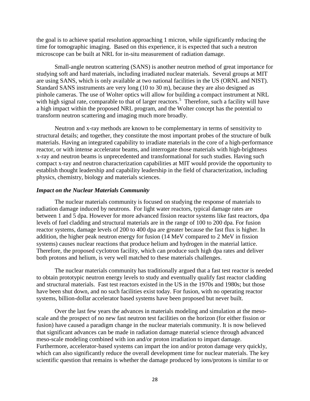the goal is to achieve spatial resolution approaching 1 micron, while significantly reducing the time for tomographic imaging. Based on this experience, it is expected that such a neutron microscope can be built at NRL for in-situ measurement of radiation damage.

Small-angle neutron scattering (SANS) is another neutron method of great importance for studying soft and hard materials, including irradiated nuclear materials. Several groups at MIT are using SANS, which is only available at two national facilities in the US (ORNL and NIST). Standard SANS instruments are very long (10 to 30 m), because they are also designed as pinhole cameras. The use of Wolter optics will allow for building a compact instrument at NRL with high signal rate, comparable to that of larger reactors.<sup>[5](#page-57-4)</sup> Therefore, such a facility will have a high impact within the proposed NRL program, and the Wolter concept has the potential to transform neutron scattering and imaging much more broadly.

Neutron and x-ray methods are known to be complementary in terms of sensitivity to structural details; and together, they constitute the most important probes of the structure of bulk materials. Having an integrated capability to irradiate materials in the core of a high-performance reactor, or with intense accelerator beams, and interrogate those materials with high-brightness x-ray and neutron beams is unprecedented and transformational for such studies. Having such compact x-ray and neutron characterization capabilities at MIT would provide the opportunity to establish thought leadership and capability leadership in the field of characterization, including physics, chemistry, biology and materials sciences.

#### *Impact on the Nuclear Materials Community*

The nuclear materials community is focused on studying the response of materials to radiation damage induced by neutrons. For light water reactors, typical damage rates are between 1 and 5 dpa. However for more advanced fission reactor systems like fast reactors, dpa levels of fuel cladding and structural materials are in the range of 100 to 200 dpa. For fusion reactor systems, damage levels of 200 to 400 dpa are greater because the fast flux is higher. In addition, the higher peak neutron energy for fusion (14 MeV compared to 2 MeV in fission systems) causes nuclear reactions that produce helium and hydrogen in the material lattice. Therefore, the proposed cyclotron facility, which can produce such high dpa rates and deliver both protons and helium, is very well matched to these materials challenges.

The nuclear materials community has traditionally argued that a fast test reactor is needed to obtain prototypic neutron energy levels to study and eventually qualify fast reactor cladding and structural materials. Fast test reactors existed in the US in the 1970s and 1980s; but those have been shut down, and no such facilities exist today. For fusion, with no operating reactor systems, billion-dollar accelerator based systems have been proposed but never built.

Over the last few years the advances in materials modeling and simulation at the mesoscale and the prospect of no new fast neutron test facilities on the horizon (for either fission or fusion) have caused a paradigm change in the nuclear materials community. It is now believed that significant advances can be made in radiation damage material science through advanced meso-scale modeling combined with ion and/or proton irradiation to impart damage. Furthermore, accelerator-based systems can impart the ion and/or proton damage very quickly, which can also significantly reduce the overall development time for nuclear materials. The key scientific question that remains is whether the damage produced by ions/protons is similar to or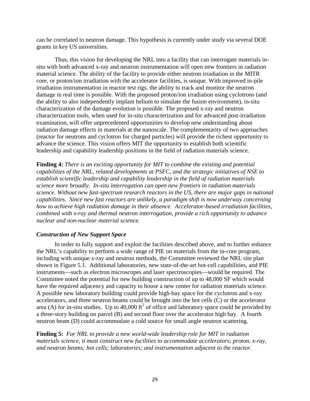can be correlated to neutron damage. This hypothesis is currently under study via several DOE grants in key US universities.

Thus, this vision for developing the NRL into a facility that can interrogate materials insitu with both advanced x-ray and neutron instrumentation will open new frontiers in radiation material science. The ability of the facility to provide either neutron irradiation in the MITR core, or proton/ion irradiation with the accelerator facilities, is unique. With improved in-pile irradiation instrumentation in reactor test rigs, the ability to track and monitor the neutron damage in real time is possible. With the proposed proton/ion irradiation using cyclotrons (and the ability to also independently implant helium to simulate the fusion environment), in-situ characterization of the damage evolution is possible. The proposed x-ray and neutron characterization tools, when used for in-situ characterization and for advanced post-irradiation examination, will offer unprecedented opportunities to develop new understanding about radiation damage effects in materials at the nanoscale. The complementarity of two approaches (reactor for neutrons and cyclotron for charged particles) will provide the richest opportunity to advance the science. This vision offers MIT the opportunity to establish both scientific leadership and capability leadership positions in the field of radiation materials science.

**Finding 4:** *There is an exciting opportunity for MIT to combine the existing and potential capabilities of the NRL, related developments at PSFC, and the strategic initiatives of NSE to establish scientific leadership and capability leadership in the field of radiation materials science more broadly. In-situ interrogation can open new frontiers in radiation materials science. Without new fast-spectrum research reactors in the US, there are major gaps in national capabilities. Since new fast reactors are unlikely, a paradigm shift is now underway concerning how to achieve high radiation damage in their absence. Accelerator-based irradiation facilities, combined with x-ray and thermal neutron interrogation, provide a rich opportunity to advance nuclear and non-nuclear material science.* 

### *Construction of New Support Space*

In order to fully support and exploit the facilities described above, and to further enhance the NRL's capability to perform a wide range of PIE on materials from the in-core program, including with unique x-ray and neutron methods, the Committee reviewed the NRL site plan shown in Figure 5.1. Additional laboratories, new state-of-the-art hot-cell capabilities, and PIE instruments—such as electron microscopes and laser spectroscopies—would be required. The Committee noted the potential for new building construction of up to 48,000 SF which would have the required adjacency and capacity to house a new center for radiation materials science. A possible new laboratory building could provide high-bay space for the cyclotron and x-ray accelerators, and three neutron beams could be brought into the hot cells (C) or the accelerator area (A) for in-situ studies. Up to 40,000 ft<sup>2</sup> of office and laboratory space could be provided by a three-story building on parcel (B) and second floor over the accelerator high bay. A fourth neutron beam (D) could accommodate a cold source for small angle neutron scattering.

**Finding 5:** *For NRL to provide a new world-wide leadership role for MIT in radiation materials science, it must construct new facilities to accommodate accelerators; proton, x-ray, and neutron beams; hot cells; laboratories; and instrumentation adjacent to the reactor.*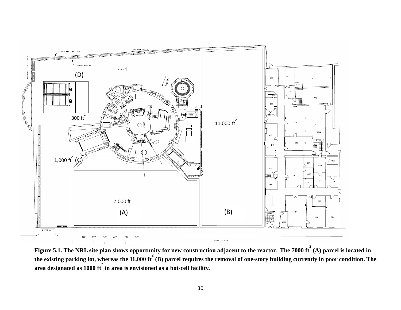

**Figure 5.1. The NRL site plan shows opportunity for new construction adjacent to the reactor. The 7000 ft 2 (A) parcel is located in the existing parking lot, whereas the 11,000 ft 2 (B) parcel requires the removal of one-story building currently in poor condition. The area designated as 1000 ft 2 in area is envisioned as a hot-cell facility.**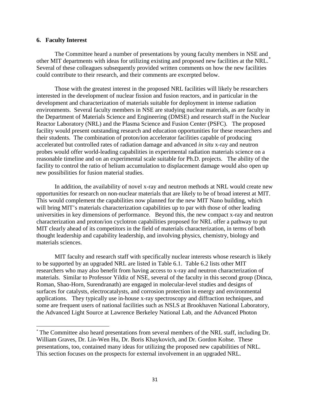#### **6. Faculty Interest**

The Committee heard a number of presentations by young faculty members in NSE and other MIT departments with ideas for utilizing existing and proposed new facilities at the NRL.[\\*](#page-30-0) Several of these colleagues subsequently provided written comments on how the new facilities could contribute to their research, and their comments are excerpted below.

Those with the greatest interest in the proposed NRL facilities will likely be researchers interested in the development of nuclear fission and fusion reactors, and in particular in the development and characterization of materials suitable for deployment in intense radiation environments. Several faculty members in NSE are studying nuclear materials, as are faculty in the Department of Materials Science and Engineering (DMSE) and research staff in the Nuclear Reactor Laboratory (NRL) and the Plasma Science and Fusion Center (PSFC). The proposed facility would present outstanding research and education opportunities for these researchers and their students. The combination of proton/ion accelerator facilities capable of producing accelerated but controlled rates of radiation damage and advanced *in situ* x-ray and neutron probes would offer world-leading capabilities in experimental radiation materials science on a reasonable timeline and on an experimental scale suitable for Ph.D. projects. The ability of the facility to control the ratio of helium accumulation to displacement damage would also open up new possibilities for fusion material studies.

In addition, the availability of novel x-ray and neutron methods at NRL would create new opportunities for research on non-nuclear materials that are likely to be of broad interest at MIT. This would complement the capabilities now planned for the new MIT Nano building, which will bring MIT's materials characterization capabilities up to par with those of other leading universities in key dimensions of performance. Beyond this, the new compact x-ray and neutron characterization and proton/ion cyclotron capabilities proposed for NRL offer a pathway to put MIT clearly ahead of its competitors in the field of materials characterization, in terms of both thought leadership and capability leadership, and involving physics, chemistry, biology and materials sciences.

MIT faculty and research staff with specifically nuclear interests whose research is likely to be supported by an upgraded NRL are listed in Table 6.1. Table 6.2 lists other MIT researchers who may also benefit from having access to x-ray and neutron characterization of materials. Similar to Professor Yildiz of NSE, several of the faculty in this second group (Dinca, Roman, Shao-Horn, Surendranath) are engaged in molecular-level studies and designs of surfaces for catalysts, electrocatalysts, and corrosion protection in energy and environmental applications. They typically use in-house x-ray spectroscopy and diffraction techniques, and some are frequent users of national facilities such as NSLS at Brookhaven National Laboratory, the Advanced Light Source at Lawrence Berkeley National Lab, and the Advanced Photon

<span id="page-30-0"></span> <sup>\*</sup> The Committee also heard presentations from several members of the NRL staff, including Dr. William Graves, Dr. Lin-Wen Hu, Dr. Boris Khaykovich, and Dr. Gordon Kohse. These presentations, too, contained many ideas for utilizing the proposed new capabilities of NRL. This section focuses on the prospects for external involvement in an upgraded NRL.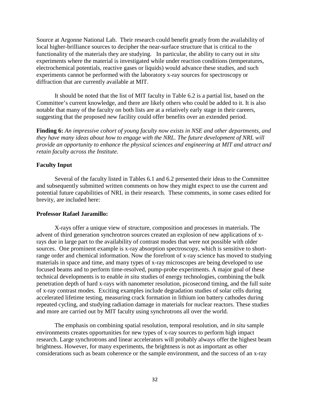Source at Argonne National Lab. Their research could benefit greatly from the availability of local higher-brilliance sources to decipher the near-surface structure that is critical to the functionality of the materials they are studying. In particular, the ability to carry out *in situ* experiments where the material is investigated while under reaction conditions (temperatures, electrochemical potentials, reactive gases or liquids) would advance these studies, and such experiments cannot be performed with the laboratory x-ray sources for spectroscopy or diffraction that are currently available at MIT.

It should be noted that the list of MIT faculty in Table 6.2 is a partial list, based on the Committee's current knowledge, and there are likely others who could be added to it. It is also notable that many of the faculty on both lists are at a relatively early stage in their careers, suggesting that the proposed new facility could offer benefits over an extended period.

**Finding 6:** *An impressive cohort of young faculty now exists in NSE and other departments, and they have many ideas about how to engage with the NRL. The future development of NRL will provide an opportunity to enhance the physical sciences and engineering at MIT and attract and retain faculty across the Institute.*

#### **Faculty Input**

Several of the faculty listed in Tables 6.1 and 6.2 presented their ideas to the Committee and subsequently submitted written comments on how they might expect to use the current and potential future capabilities of NRL in their research. These comments, in some cases edited for brevity, are included here:

#### **Professor Rafael Jaramillo:**

X-rays offer a unique view of structure, composition and processes in materials. The advent of third generation synchrotron sources created an explosion of new applications of xrays due in large part to the availability of contrast modes that were not possible with older sources. One prominent example is x-ray absorption spectroscopy, which is sensitive to shortrange order and chemical information. Now the forefront of x-ray science has moved to studying materials in space and time, and many types of x-ray microscopes are being developed to use focused beams and to perform time-resolved, pump-probe experiments. A major goal of these technical developments is to enable *in situ* studies of energy technologies, combining the bulk penetration depth of hard x-rays with nanometer resolution, picosecond timing, and the full suite of x-ray contrast modes. Exciting examples include degradation studies of solar cells during accelerated lifetime testing, measuring crack formation in lithium ion battery cathodes during repeated cycling, and studying radiation damage in materials for nuclear reactors. These studies and more are carried out by MIT faculty using synchrotrons all over the world.

The emphasis on combining spatial resolution, temporal resolution, and *in situ* sample environments creates opportunities for new types of x-ray sources to perform high impact research. Large synchrotrons and linear accelerators will probably always offer the highest beam brightness. However, for many experiments, the brightness is not as important as other considerations such as beam coherence or the sample environment, and the success of an x-ray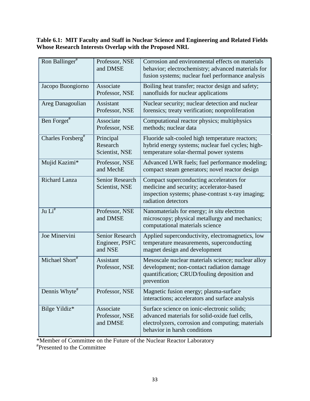### **Table 6.1: MIT Faculty and Staff in Nuclear Science and Engineering and Related Fields Whose Research Interests Overlap with the Proposed NRL**

| Ron Ballinger <sup>#</sup>       | Professor, NSE<br>and DMSE                          | Corrosion and environmental effects on materials<br>behavior; electrochemistry; advanced materials for<br>fusion systems; nuclear fuel performance analysis                        |
|----------------------------------|-----------------------------------------------------|------------------------------------------------------------------------------------------------------------------------------------------------------------------------------------|
| Jacopo Buongiorno                | Associate<br>Professor, NSE                         | Boiling heat transfer; reactor design and safety;<br>nanofluids for nuclear applications                                                                                           |
| Areg Danagoulian                 | Assistant<br>Professor, NSE                         | Nuclear security; nuclear detection and nuclear<br>forensics; treaty verification; nonproliferation                                                                                |
| Ben Forget#                      | Associate<br>Professor, NSE                         | Computational reactor physics; multiphysics<br>methods; nuclear data                                                                                                               |
| Charles Forsberg <sup>#</sup>    | Principal<br>Research<br>Scientist, NSE             | Fluoride salt-cooled high temperature reactors;<br>hybrid energy systems; nuclear fuel cycles; high-<br>temperature solar-thermal power systems                                    |
| Mujid Kazimi*                    | Professor, NSE<br>and MechE                         | Advanced LWR fuels; fuel performance modeling;<br>compact steam generators; novel reactor design                                                                                   |
| <b>Richard Lanza</b>             | <b>Senior Research</b><br>Scientist, NSE            | Compact superconducting accelerators for<br>medicine and security; accelerator-based<br>inspection systems; phase-contrast x-ray imaging;<br>radiation detectors                   |
| Ju $\overline{\mathrm{Li}}^{\#}$ | Professor, NSE<br>and DMSE                          | Nanomaterials for energy; in situ electron<br>microscopy; physical metallurgy and mechanics;<br>computational materials science                                                    |
| Joe Minervini                    | <b>Senior Research</b><br>Engineer, PSFC<br>and NSE | Applied superconductivity, electromagnetics, low<br>temperature measurements, superconducting<br>magnet design and development                                                     |
| Michael Short#                   | Assistant<br>Professor, NSE                         | Mesoscale nuclear materials science; nuclear alloy<br>development; non-contact radiation damage<br>quantification; CRUD/fouling deposition and<br>prevention                       |
| Dennis Whyte $#$                 | Professor, NSE                                      | Magnetic fusion energy; plasma-surface<br>interactions; accelerators and surface analysis                                                                                          |
| Bilge Yildiz*                    | Associate<br>Professor, NSE<br>and DMSE             | Surface science on ionic-electronic solids;<br>advanced materials for solid-oxide fuel cells,<br>electrolyzers, corrosion and computing; materials<br>behavior in harsh conditions |

\*Member of Committee on the Future of the Nuclear Reactor Laboratory

# Presented to the Committee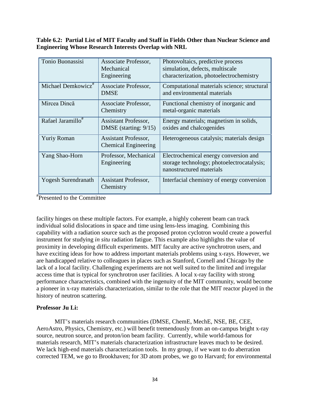**Table 6.2: Partial List of MIT Faculty and Staff in Fields Other than Nuclear Science and Engineering Whose Research Interests Overlap with NRL**

| Tonio Buonassisi               | Associate Professor,<br>Mechanical<br>Engineering          | Photovoltaics, predictive process<br>simulation, defects, multiscale<br>characterization, photoelectrochemistry |
|--------------------------------|------------------------------------------------------------|-----------------------------------------------------------------------------------------------------------------|
| Michael Demkowicz <sup>#</sup> | Associate Professor,<br><b>DMSE</b>                        | Computational materials science; structural<br>and environmental materials                                      |
| Mircea Dincă                   | Associate Professor,<br>Chemistry                          | Functional chemistry of inorganic and<br>metal-organic materials                                                |
| Rafael Jaramillo <sup>#</sup>  | <b>Assistant Professor,</b><br>DMSE (starting: $9/15$ )    | Energy materials; magnetism in solids,<br>oxides and chalcogenides                                              |
| <b>Yuriy Roman</b>             | <b>Assistant Professor,</b><br><b>Chemical Engineering</b> | Heterogeneous catalysis; materials design                                                                       |
| Yang Shao-Horn                 | Professor, Mechanical<br>Engineering                       | Electrochemical energy conversion and<br>storage technology; photoelectrocatalysis;<br>nanostructured materials |
| <b>Yogesh Surendranath</b>     | <b>Assistant Professor,</b><br>Chemistry                   | Interfacial chemistry of energy conversion                                                                      |

# Presented to the Committee

facility hinges on these multiple factors. For example, a highly coherent beam can track individual solid dislocations in space and time using lens-less imaging. Combining this capability with a radiation source such as the proposed proton cyclotron would create a powerful instrument for studying *in situ* radiation fatigue. This example also highlights the value of proximity in developing difficult experiments. MIT faculty are active synchrotron users, and have exciting ideas for how to address important materials problems using x-rays. However, we are handicapped relative to colleagues in places such as Stanford, Cornell and Chicago by the lack of a local facility. Challenging experiments are not well suited to the limited and irregular access time that is typical for synchrotron user facilities. A local x-ray facility with strong performance characteristics, combined with the ingenuity of the MIT community, would become a pioneer in x-ray materials characterization, similar to the role that the MIT reactor played in the history of neutron scattering.

#### **Professor Ju Li:**

MIT's materials research communities (DMSE, ChemE, MechE, NSE, BE, CEE, AeroAstro, Physics, Chemistry, etc.) will benefit tremendously from an on-campus bright x-ray source, neutron source, and proton/ion beam facility. Currently, while world-famous for materials research, MIT's materials characterization infrastructure leaves much to be desired. We lack high-end materials characterization tools. In my group, if we want to do aberration corrected TEM, we go to Brookhaven; for 3D atom probes, we go to Harvard; for environmental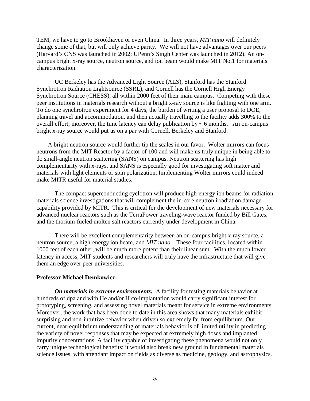TEM, we have to go to Brookhaven or even China. In three years, *MIT.nano* will definitely change some of that, but will only achieve parity. We will not have advantages over our peers (Harvard's CNS was launched in 2002; UPenn's Singh Center was launched in 2012). An oncampus bright x-ray source, neutron source, and ion beam would make MIT No.1 for materials characterization.

UC Berkeley has the Advanced Light Source (ALS), Stanford has the Stanford Synchrotron Radiation Lightsource (SSRL), and Cornell has the Cornell High Energy Synchrotron Source (CHESS), all within 2000 feet of their main campus. Competing with these peer institutions in materials research without a bright x-ray source is like fighting with one arm. To do one synchrotron experiment for 4 days, the burden of writing a user proposal to DOE, planning travel and accommodation, and then actually travelling to the facility adds 300% to the overall effort; moreover, the time latency can delay publication by  $\sim 6$  months. An on-campus bright x-ray source would put us on a par with Cornell, Berkeley and Stanford.

A bright neutron source would further tip the scales in our favor. Wolter mirrors can focus neutrons from the MIT Reactor by a factor of 100 and will make us truly unique in being able to do small-angle neutron scattering (SANS) on campus. Neutron scattering has high complementarity with x-rays, and SANS is especially good for investigating soft matter and materials with light elements or spin polarization. Implementing Wolter mirrors could indeed make MITR useful for material studies.

The compact superconducting cyclotron will produce high-energy ion beams for radiation materials science investigations that will complement the in-core neutron irradiation damage capability provided by MITR. This is critical for the development of new materials necessary for advanced nuclear reactors such as the TerraPower traveling-wave reactor funded by Bill Gates, and the thorium-fueled molten salt reactors currently under development in China.

There will be excellent complementarity between an on-campus bright x-ray source, a neutron source, a high-energy ion beam, and *MIT.nano*. These four facilities, located within 1000 feet of each other, will be much more potent than their linear sum. With the much lower latency in access, MIT students and researchers will truly have the infrastructure that will give them an edge over peer universities.

#### **Professor Michael Demkowicz:**

*On materials in extreme environments:* A facility for testing materials behavior at hundreds of dpa and with He and/or H co-implantation would carry significant interest for prototyping, screening, and assessing novel materials meant for service in extreme environments. Moreover, the work that has been done to date in this area shows that many materials exhibit surprising and non-intuitive behavior when driven so extremely far from equilibrium. Our current, near-equilibrium understanding of materials behavior is of limited utility in predicting the variety of novel responses that may be expected at extremely high doses and implanted impurity concentrations. A facility capable of investigating these phenomena would not only carry unique technological benefits: it would also break new ground in fundamental materials science issues, with attendant impact on fields as diverse as medicine, geology, and astrophysics.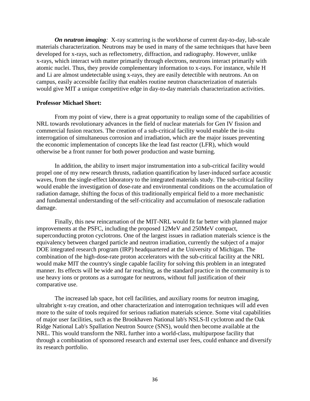*On neutron imaging:* X-ray scattering is the workhorse of current day-to-day, lab-scale materials characterization. Neutrons may be used in many of the same techniques that have been developed for x-rays, such as reflectometry, diffraction, and radiography. However, unlike x-rays, which interact with matter primarily through electrons, neutrons interact primarily with atomic nuclei. Thus, they provide complementary information to x-rays. For instance, while H and Li are almost undetectable using x-rays, they are easily detectible with neutrons. An on campus, easily accessible facility that enables routine neutron characterization of materials would give MIT a unique competitive edge in day-to-day materials characterization activities.

#### **Professor Michael Short:**

From my point of view, there is a great opportunity to realign some of the capabilities of NRL towards revolutionary advances in the field of nuclear materials for Gen IV fission and commercial fusion reactors. The creation of a sub-critical facility would enable the in-situ interrogation of simultaneous corrosion and irradiation, which are the major issues preventing the economic implementation of concepts like the lead fast reactor (LFR), which would otherwise be a front runner for both power production and waste burning.

In addition, the ability to insert major instrumentation into a sub-critical facility would propel one of my new research thrusts, radiation quantification by laser-induced surface acoustic waves, from the single-effect laboratory to the integrated materials study. The sub-critical facility would enable the investigation of dose-rate and environmental conditions on the accumulation of radiation damage, shifting the focus of this traditionally empirical field to a more mechanistic and fundamental understanding of the self-criticality and accumulation of mesoscale radiation damage.

Finally, this new reincarnation of the MIT-NRL would fit far better with planned major improvements at the PSFC, including the proposed 12MeV and 250MeV compact, superconducting proton cyclotrons. One of the largest issues in radiation materials science is the equivalency between charged particle and neutron irradiation, currently the subject of a major DOE integrated research program (IRP) headquartered at the University of Michigan. The combination of the high-dose-rate proton accelerators with the sub-critical facility at the NRL would make MIT the country's single capable facility for solving this problem in an integrated manner. Its effects will be wide and far reaching, as the standard practice in the community is to use heavy ions or protons as a surrogate for neutrons, without full justification of their comparative use.

The increased lab space, hot cell facilities, and auxiliary rooms for neutron imaging, ultrabright x-ray creation, and other characterization and interrogation techniques will add even more to the suite of tools required for serious radiation materials science. Some vital capabilities of major user facilities, such as the Brookhaven National lab's NSLS-II cyclotron and the Oak Ridge National Lab's Spallation Neutron Source (SNS), would then become available at the NRL. This would transform the NRL further into a world-class, multipurpose facility that through a combination of sponsored research and external user fees, could enhance and diversify its research portfolio.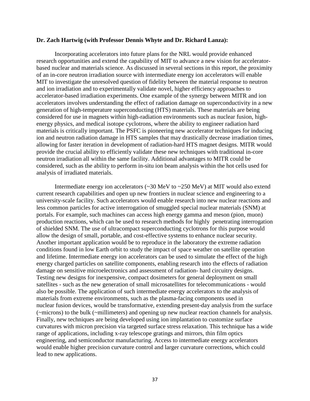#### **Dr. Zach Hartwig (with Professor Dennis Whyte and Dr. Richard Lanza):**

Incorporating accelerators into future plans for the NRL would provide enhanced research opportunities and extend the capability of MIT to advance a new vision for acceleratorbased nuclear and materials science. As discussed in several sections in this report, the proximity of an in-core neutron irradiation source with intermediate energy ion accelerators will enable MIT to investigate the unresolved question of fidelity between the material response to neutron and ion irradiation and to experimentally validate novel, higher efficiency approaches to accelerator-based irradiation experiments. One example of the synergy between MITR and ion accelerators involves understanding the effect of radiation damage on superconductivity in a new generation of high-temperature superconducting (HTS) materials. These materials are being considered for use in magnets within high-radiation environments such as nuclear fusion, highenergy physics, and medical isotope cyclotrons, where the ability to engineer radiation hard materials is critically important. The PSFC is pioneering new accelerator techniques for inducing ion and neutron radiation damage in HTS samples that may drastically decrease irradiation times, allowing for faster iteration in development of radiation-hard HTS magnet designs. MITR would provide the crucial ability to efficiently validate these new techniques with traditional in-core neutron irradiation all within the same facility. Additional advantages to MITR could be considered, such as the ability to perform in-situ ion beam analysis within the hot cells used for analysis of irradiated materials.

Intermediate energy ion accelerators (~30 MeV to ~250 MeV) at MIT would also extend current research capabilities and open up new frontiers in nuclear science and engineering to a university-scale facility. Such accelerators would enable research into new nuclear reactions and less common particles for active interrogation of smuggled special nuclear materials (SNM) at portals. For example, such machines can access high energy gamma and meson (pion, muon) production reactions, which can be used to research methods for highly penetrating interrogation of shielded SNM. The use of ultracompact superconducting cyclotrons for this purpose would allow the design of small, portable, and cost-effective systems to enhance nuclear security. Another important application would be to reproduce in the laboratory the extreme radiation conditions found in low Earth orbit to study the impact of space weather on satellite operation and lifetime. Intermediate energy ion accelerators can be used to simulate the effect of the high energy charged particles on satellite components, enabling research into the effects of radiation damage on sensitive microelectronics and assessment of radiation- hard circuitry designs. Testing new designs for inexpensive, compact dosimeters for general deployment on small satellites - such as the new generation of small microsatellites for telecommunications - would also be possible. The application of such intermediate energy accelerators to the analysis of materials from extreme environments, such as the plasma-facing components used in nuclear fusion devices, would be transformative, extending present-day analysis from the surface (~microns) to the bulk (~millimeters) and opening up new nuclear reaction channels for analysis. Finally, new techniques are being developed using ion implantation to customize surface curvatures with micron precision via targeted surface stress relaxation. This technique has a wide range of applications, including x-ray telescope gratings and mirrors, thin film optics engineering, and semiconductor manufacturing. Access to intermediate energy accelerators would enable higher precision curvature control and larger curvature corrections, which could lead to new applications.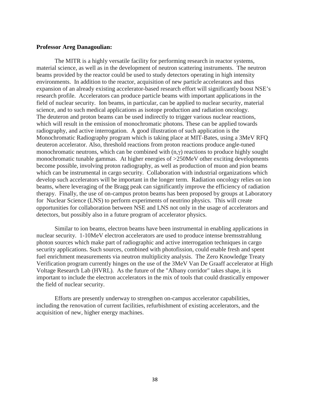#### **Professor Areg Danagoulian:**

The MITR is a highly versatile facility for performing research in reactor systems, material science, as well as in the development of neutron scattering instruments. The neutron beams provided by the reactor could be used to study detectors operating in high intensity environments. In addition to the reactor, acquisition of new particle accelerators and thus expansion of an already existing accelerator-based research effort will significantly boost NSE's research profile. Accelerators can produce particle beams with important applications in the field of nuclear security. Ion beams, in particular, can be applied to nuclear security, material science, and to such medical applications as isotope production and radiation oncology. The deuteron and proton beams can be used indirectly to trigger various nuclear reactions, which will result in the emission of monochromatic photons. These can be applied towards radiography, and active interrogation. A good illustration of such application is the Monochromatic Radiography program which is taking place at MIT-Bates, using a 3MeV RFQ deuteron accelerator. Also, threshold reactions from proton reactions produce angle-tuned monochromatic neutrons, which can be combined with (n,γ) reactions to produce highly sought monochromatic tunable gammas. At higher energies of >250MeV other exciting developments become possible, involving proton radiography, as well as production of muon and pion beams which can be instrumental in cargo security. Collaboration with industrial organizations which develop such accelerators will be important in the longer term. Radiation oncology relies on ion beams, where leveraging of the Bragg peak can significantly improve the efficiency of radiation therapy. Finally, the use of on-campus proton beams has been proposed by groups at Laboratory for Nuclear Science (LNS) to perform experiments of neutrino physics. This will create opportunities for collaboration between NSE and LNS not only in the usage of accelerators and detectors, but possibly also in a future program of accelerator physics.

Similar to ion beams, electron beams have been instrumental in enabling applications in nuclear security. 1-10MeV electron accelerators are used to produce intense bremsstrahlung photon sources which make part of radiographic and active interrogation techniques in cargo security applications. Such sources, combined with photofission, could enable fresh and spent fuel enrichment measurements via neutron multiplicity analysis. The Zero Knowledge Treaty Verification program currently hinges on the use of the 3MeV Van De Graaff accelerator at High Voltage Research Lab (HVRL). As the future of the "Albany corridor" takes shape, it is important to include the electron accelerators in the mix of tools that could drastically empower the field of nuclear security.

Efforts are presently underway to strengthen on-campus accelerator capabilities, including the renovation of current facilities, refurbishment of existing accelerators, and the acquisition of new, higher energy machines.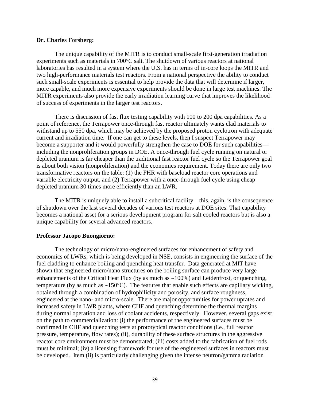#### **Dr. Charles Forsberg:**

The unique capability of the MITR is to conduct small-scale first-generation irradiation experiments such as materials in 700°C salt. The shutdown of various reactors at national laboratories has resulted in a system where the U.S. has in terms of in-core loops the MITR and two high-performance materials test reactors. From a national perspective the ability to conduct such small-scale experiments is essential to help provide the data that will determine if larger, more capable, and much more expensive experiments should be done in large test machines. The MITR experiments also provide the early irradiation learning curve that improves the likelihood of success of experiments in the larger test reactors.

There is discussion of fast flux testing capability with 100 to 200 dpa capabilities. As a point of reference, the Terrapower once-through fast reactor ultimately wants clad materials to withstand up to 550 dpa, which may be achieved by the proposed proton cyclotron with adequate current and irradiation time. If one can get to these levels, then I suspect Terrapower may become a supporter and it would powerfully strengthen the case to DOE for such capabilities including the nonproliferation groups in DOE. A once-through fuel cycle running on natural or depleted uranium is far cheaper than the traditional fast reactor fuel cycle so the Terrapower goal is about both vision (nonproliferation) and the economics requirement. Today there are only two transformative reactors on the table: (1) the FHR with baseload reactor core operations and variable electricity output, and (2) Terrapower with a once-through fuel cycle using cheap depleted uranium 30 times more efficiently than an LWR.

The MITR is uniquely able to install a subcritical facility—this, again, is the consequence of shutdown over the last several decades of various test reactors at DOE sites. That capability becomes a national asset for a serious development program for salt cooled reactors but is also a unique capability for several advanced reactors.

#### **Professor Jacopo Buongiorno:**

The technology of micro/nano-engineered surfaces for enhancement of safety and economics of LWRs, which is being developed in NSE, consists in engineering the surface of the fuel cladding to enhance boiling and quenching heat transfer. Data generated at MIT have shown that engineered micro/nano structures on the boiling surface can produce very large enhancements of the Critical Heat Flux (by as much as ∼100%) and Leidenfrost, or quenching, temperature (by as much as ∼150°C). The features that enable such effects are capillary wicking, obtained through a combination of hydrophilicity and porosity, and surface roughness, engineered at the nano- and micro-scale. There are major opportunities for power uprates and increased safety in LWR plants, where CHF and quenching determine the thermal margins during normal operation and loss of coolant accidents, respectively. However, several gaps exist on the path to commercialization: (i) the performance of the engineered surfaces must be confirmed in CHF and quenching tests at prototypical reactor conditions (i.e., full reactor pressure, temperature, flow rates); (ii), durability of these surface structures in the aggressive reactor core environment must be demonstrated; (iii) costs added to the fabrication of fuel rods must be minimal; (iv) a licensing framework for use of the engineered surfaces in reactors must be developed. Item (ii) is particularly challenging given the intense neutron/gamma radiation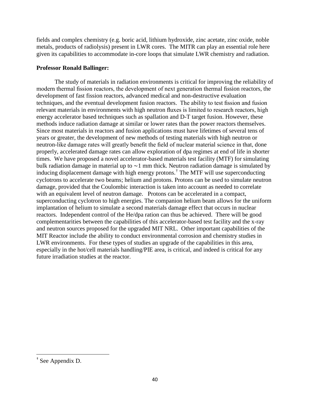fields and complex chemistry (e.g. boric acid, lithium hydroxide, zinc acetate, zinc oxide, noble metals, products of radiolysis) present in LWR cores. The MITR can play an essential role here given its capabilities to accommodate in-core loops that simulate LWR chemistry and radiation.

### **Professor Ronald Ballinger:**

The study of materials in radiation environments is critical for improving the reliability of modern thermal fission reactors, the development of next generation thermal fission reactors, the development of fast fission reactors, advanced medical and non-destructive evaluation techniques, and the eventual development fusion reactors. The ability to test fission and fusion relevant materials in environments with high neutron fluxes is limited to research reactors, high energy accelerator based techniques such as spallation and D-T target fusion. However, these methods induce radiation damage at similar or lower rates than the power reactors themselves. Since most materials in reactors and fusion applications must have lifetimes of several tens of years or greater, the development of new methods of testing materials with high neutron or neutron-like damage rates will greatly benefit the field of nuclear material science in that, done properly, accelerated damage rates can allow exploration of dpa regimes at end of life in shorter times. We have proposed a novel accelerator-based materials test facility (MTF) for simulating bulk radiation damage in material up to ∼1 mm thick. Neutron radiation damage is simulated by inducing displacement damage with high energy protons.[†](#page-39-0) The MTF will use superconducting cyclotrons to accelerate two beams; helium and protons. Protons can be used to simulate neutron damage, provided that the Coulombic interaction is taken into account as needed to correlate with an equivalent level of neutron damage. Protons can be accelerated in a compact, superconducting cyclotron to high energies. The companion helium beam allows for the uniform implantation of helium to simulate a second materials damage effect that occurs in nuclear reactors. Independent control of the He/dpa ration can thus be achieved. There will be good complementarities between the capabilities of this accelerator-based test facility and the x-ray and neutron sources proposed for the upgraded MIT NRL. Other important capabilities of the MIT Reactor include the ability to conduct environmental corrosion and chemistry studies in LWR environments. For these types of studies an upgrade of the capabilities in this area, especially in the hot/cell materials handling/PIE area, is critical, and indeed is critical for any future irradiation studies at the reactor.

<span id="page-39-0"></span> <sup>†</sup> See Appendix D.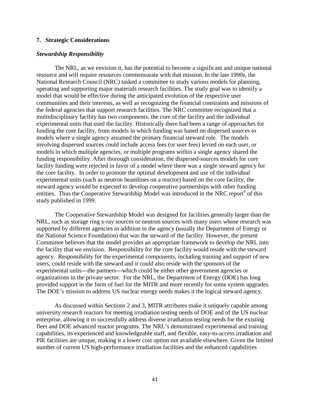#### **7. Strategic Considerations**

#### *Stewardship Responsibility*

The NRL, as we envision it, has the potential to become a significant and unique national resource and will require resources commensurate with that mission. In the late 1990s, the National Research Council (NRC) tasked a committee to study various models for planning, operating and supporting major materials research facilities. The study goal was to identify a model that would be effective during the anticipated evolution of the respective user communities and their interests, as well as recognizing the financial constraints and missions of the federal agencies that support research facilities. The NRC committee recognized that a multidisciplinary facility has two components: the core of the facility and the individual experimental units that used the facility. Historically there had been a range of approaches for funding the core facility, from models in which funding was based on dispersed sources to models where a single agency assumed the primary financial steward role. The models involving dispersed sources could include access fees (or user fees) levied on each user, or models in which multiple agencies, or multiple programs within a single agency shared the funding responsibility. After thorough consideration, the dispersed-sources models for core facility funding were rejected in favor of a model where there was a single steward agency for the core facility. In order to promote the optimal development and use of the individual experimental units (such as neutron beamlines on a reactor) based on the core facility, the steward agency would be expected to develop cooperative partnerships with other funding entities. Thus the Cooperative Stewardship Model was introduced in the NRC report<sup>[6](#page-57-5)</sup> of this study published in 1999.

The Cooperative Stewardship Model was designed for facilities generally larger than the NRL, such as storage ring x-ray sources or neutron sources with many users whose research was supported by different agencies in addition to the agency (usually the Department of Energy or the National Science Foundation) that was the steward of the facility. However, the present Committee believes that the model provides an appropriate framework to develop the NRL into the facility that we envision. Responsibility for the core facility would reside with the steward agency. Responsibility for the experimental components, including training and support of new users, could reside with the steward and it could also reside with the sponsors of the experimental units---the partners---which could be either other government agencies or organizations in the private sector. For the NRL, the Department of Energy (DOE) has long provided support in the form of fuel for the MITR and more recently for some system upgrades. The DOE's mission to address US nuclear energy needs makes it the logical steward agency.

As discussed within Sections 2 and 3, MITR attributes make it uniquely capable among university research reactors for meeting irradiation testing needs of DOE and of the US nuclear enterprise, allowing it to successfully address diverse irradiation testing needs for the existing fleet and DOE advanced reactor programs. The NRL's demonstrated experimental and training capabilities, its experienced and knowledgeable staff, and flexible, easy-to-access irradiation and PIE facilities are unique, making it a lower cost option not available elsewhere. Given the limited number of current US high-performance irradiation facilities and the enhanced capabilities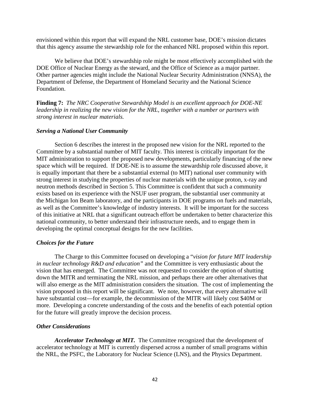envisioned within this report that will expand the NRL customer base, DOE's mission dictates that this agency assume the stewardship role for the enhanced NRL proposed within this report.

We believe that DOE's stewardship role might be most effectively accomplished with the DOE Office of Nuclear Energy as the steward, and the Office of Science as a major partner. Other partner agencies might include the National Nuclear Security Administration (NNSA), the Department of Defense, the Department of Homeland Security and the National Science Foundation.

**Finding 7:** *The NRC Cooperative Stewardship Model is an excellent approach for DOE-NE leadership in realizing the new vision for the NRL, together with a number or partners with strong interest in nuclear materials.*

#### *Serving a National User Community*

 Section 6 describes the interest in the proposed new vision for the NRL reported to the Committee by a substantial number of MIT faculty. This interest is critically important for the MIT administration to support the proposed new developments, particularly financing of the new space which will be required. If DOE-NE is to assume the stewardship role discussed above, it is equally important that there be a substantial external (to MIT) national user community with strong interest in studying the properties of nuclear materials with the unique proton, x-ray and neutron methods described in Section 5. This Committee is confident that such a community exists based on its experience with the NSUF user program, the substantial user community at the Michigan Ion Beam laboratory, and the participants in DOE programs on fuels and materials, as well as the Committee's knowledge of industry interests. It will be important for the success of this initiative at NRL that a significant outreach effort be undertaken to better characterize this national community, to better understand their infrastructure needs, and to engage them in developing the optimal conceptual designs for the new facilities.

#### *Choices for the Future*

The Charge to this Committee focused on developing a "*vision for future MIT leadership in nuclear technology R&D and education"* and the Committee is very enthusiastic about the vision that has emerged. The Committee was not requested to consider the option of shutting down the MITR and terminating the NRL mission, and perhaps there are other alternatives that will also emerge as the MIT administration considers the situation. The cost of implementing the vision proposed in this report will be significant. We note, however, that every alternative will have substantial cost—for example, the decommission of the MITR will likely cost \$40M or more. Developing a concrete understanding of the costs and the benefits of each potential option for the future will greatly improve the decision process.

### *Other Considerations*

*Accelerator Technology at MIT.* The Committee recognized that the development of accelerator technology at MIT is currently dispersed across a number of small programs within the NRL, the PSFC, the Laboratory for Nuclear Science (LNS), and the Physics Department.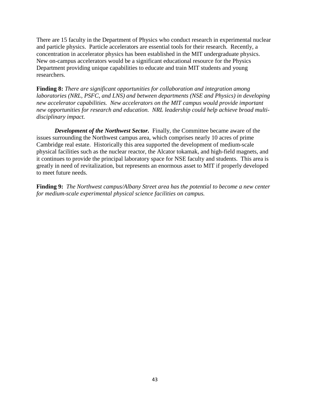There are 15 faculty in the Department of Physics who conduct research in experimental nuclear and particle physics. Particle accelerators are essential tools for their research. Recently, a concentration in accelerator physics has been established in the MIT undergraduate physics. New on-campus accelerators would be a significant educational resource for the Physics Department providing unique capabilities to educate and train MIT students and young researchers.

**Finding 8:** *There are significant opportunities for collaboration and integration among laboratories (NRL, PSFC, and LNS) and between departments (NSE and Physics) in developing new accelerator capabilities. New accelerators on the MIT campus would provide important new opportunities for research and education. NRL leadership could help achieve broad multidisciplinary impact.*

*Development of the Northwest Sector.* Finally, the Committee became aware of the issues surrounding the Northwest campus area, which comprises nearly 10 acres of prime Cambridge real estate. Historically this area supported the development of medium-scale physical facilities such as the nuclear reactor, the Alcator tokamak, and high-field magnets, and it continues to provide the principal laboratory space for NSE faculty and students. This area is greatly in need of revitalization, but represents an enormous asset to MIT if properly developed to meet future needs.

**Finding 9:** *The Northwest campus/Albany Street area has the potential to become a new center for medium-scale experimental physical science facilities on campus.*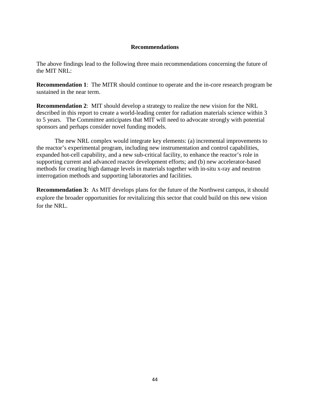#### **Recommendations**

The above findings lead to the following three main recommendations concerning the future of the MIT NRL:

**Recommendation 1**: The MITR should continue to operate and the in-core research program be sustained in the near term.

**Recommendation 2**: MIT should develop a strategy to realize the new vision for the NRL described in this report to create a world-leading center for radiation materials science within 3 to 5 years. The Committee anticipates that MIT will need to advocate strongly with potential sponsors and perhaps consider novel funding models.

The new NRL complex would integrate key elements: (a) incremental improvements to the reactor's experimental program, including new instrumentation and control capabilities, expanded hot-cell capability, and a new sub-critical facility, to enhance the reactor's role in supporting current and advanced reactor development efforts; and (b) new accelerator-based methods for creating high damage levels in materials together with in-situ x-ray and neutron interrogation methods and supporting laboratories and facilities.

**Recommendation 3:** As MIT develops plans for the future of the Northwest campus, it should explore the broader opportunities for revitalizing this sector that could build on this new vision for the NRL.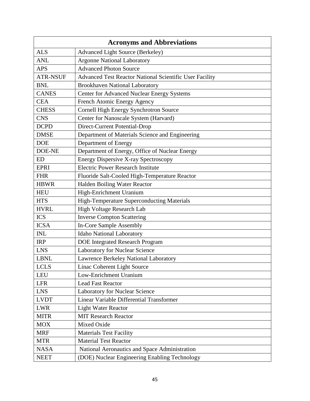| <b>Acronyms and Abbreviations</b> |                                                         |  |
|-----------------------------------|---------------------------------------------------------|--|
| <b>ALS</b>                        | <b>Advanced Light Source (Berkeley)</b>                 |  |
| <b>ANL</b>                        | <b>Argonne National Laboratory</b>                      |  |
| <b>APS</b>                        | <b>Advanced Photon Source</b>                           |  |
| <b>ATR-NSUF</b>                   | Advanced Test Reactor National Scientific User Facility |  |
| <b>BNL</b>                        | <b>Brookhaven National Laboratory</b>                   |  |
| <b>CANES</b>                      | <b>Center for Advanced Nuclear Energy Systems</b>       |  |
| <b>CEA</b>                        | French Atomic Energy Agency                             |  |
| <b>CHESS</b>                      | Cornell High Energy Synchrotron Source                  |  |
| <b>CNS</b>                        | Center for Nanoscale System (Harvard)                   |  |
| <b>DCPD</b>                       | Direct-Current Potential-Drop                           |  |
| <b>DMSE</b>                       | Department of Materials Science and Engineering         |  |
| <b>DOE</b>                        | Department of Energy                                    |  |
| <b>DOE-NE</b>                     | Department of Energy, Office of Nuclear Energy          |  |
| <b>ED</b>                         | <b>Energy Dispersive X-ray Spectroscopy</b>             |  |
| <b>EPRI</b>                       | <b>Electric Power Research Institute</b>                |  |
| <b>FHR</b>                        | Fluoride Salt-Cooled High-Temperature Reactor           |  |
| <b>HBWR</b>                       | Halden Boiling Water Reactor                            |  |
| <b>HEU</b>                        | High-Enrichment Uranium                                 |  |
| <b>HTS</b>                        | High-Temperature Superconducting Materials              |  |
| <b>HVRL</b>                       | High Voltage Research Lab                               |  |
| <b>ICS</b>                        | <b>Inverse Compton Scattering</b>                       |  |
| <b>ICSA</b>                       | In-Core Sample Assembly                                 |  |
| <b>INL</b>                        | Idaho National Laboratory                               |  |
| <b>IRP</b>                        | <b>DOE</b> Integrated Research Program                  |  |
| <b>LNS</b>                        | Laboratory for Nuclear Science                          |  |
| <b>LBNL</b>                       | Lawrence Berkeley National Laboratory                   |  |
| <b>LCLS</b>                       | Linac Coherent Light Source                             |  |
| <b>LEU</b>                        | Low-Enrichment Uranium                                  |  |
| <b>LFR</b>                        | <b>Lead Fast Reactor</b>                                |  |
| <b>LNS</b>                        | <b>Laboratory for Nuclear Science</b>                   |  |
| <b>LVDT</b>                       | Linear Variable Differential Transformer                |  |
| <b>LWR</b>                        | <b>Light Water Reactor</b>                              |  |
| <b>MITR</b>                       | <b>MIT Research Reactor</b>                             |  |
| <b>MOX</b>                        | Mixed Oxide                                             |  |
| <b>MRF</b>                        | <b>Materials Test Facility</b>                          |  |
| <b>MTR</b>                        | <b>Material Test Reactor</b>                            |  |
| <b>NASA</b>                       | National Aeronautics and Space Administration           |  |
| <b>NEET</b>                       | (DOE) Nuclear Engineering Enabling Technology           |  |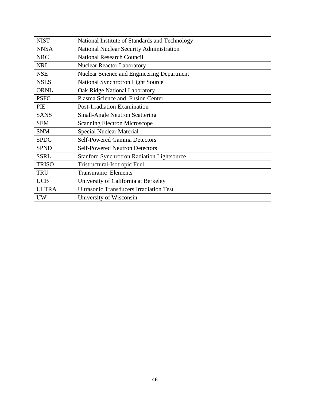| <b>NIST</b>  | National Institute of Standards and Technology    |
|--------------|---------------------------------------------------|
| <b>NNSA</b>  | <b>National Nuclear Security Administration</b>   |
| <b>NRC</b>   | <b>National Research Council</b>                  |
| <b>NRL</b>   | <b>Nuclear Reactor Laboratory</b>                 |
| <b>NSE</b>   | Nuclear Science and Engineering Department        |
| <b>NSLS</b>  | National Synchrotron Light Source                 |
| <b>ORNL</b>  | Oak Ridge National Laboratory                     |
| <b>PSFC</b>  | Plasma Science and Fusion Center                  |
| PIE          | Post-Irradiation Examination                      |
| <b>SANS</b>  | <b>Small-Angle Neutron Scattering</b>             |
| <b>SEM</b>   | <b>Scanning Electron Microscope</b>               |
|              |                                                   |
| <b>SNM</b>   | <b>Special Nuclear Material</b>                   |
| <b>SPDG</b>  | <b>Self-Powered Gamma Detectors</b>               |
| <b>SPND</b>  | <b>Self-Powered Neutron Detectors</b>             |
| <b>SSRL</b>  | <b>Stanford Synchrotron Radiation Lightsource</b> |
| <b>TRISO</b> | Tristructural-Isotropic Fuel                      |
| <b>TRU</b>   | <b>Transuranic Elements</b>                       |
| <b>UCB</b>   | University of California at Berkeley              |
| <b>ULTRA</b> | <b>Ultrasonic Transducers Irradiation Test</b>    |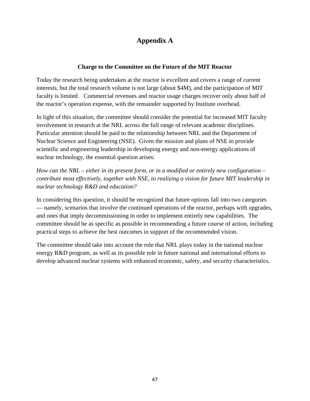## **Appendix A**

### **Charge to the Committee on the Future of the MIT Reactor**

Today the research being undertaken at the reactor is excellent and covers a range of current interests, but the total research volume is not large (about \$4M), and the participation of MIT faculty is limited. Commercial revenues and reactor usage charges recover only about half of the reactor's operation expense, with the remainder supported by Institute overhead.

In light of this situation, the committee should consider the potential for increased MIT faculty involvement in research at the NRL across the full range of relevant academic disciplines. Particular attention should be paid to the relationship between NRL and the Department of Nuclear Science and Engineering (NSE). Given the mission and plans of NSE to provide scientific and engineering leadership in developing energy and non-energy applications of nuclear technology, the essential question arises:

*How can the NRL – either in its present form, or in a modified or entirely new configuration – contribute most effectively, together with NSE, to realizing a vision for future MIT leadership in nuclear technology R&D and education?*

In considering this question, it should be recognized that future options fall into two categories — namely, scenarios that involve the continued operations of the reactor, perhaps with upgrades, and ones that imply decommissioning in order to implement entirely new capabilities. The committee should be as specific as possible in recommending a future course of action, including practical steps to achieve the best outcomes in support of the recommended vision.

The committee should take into account the role that NRL plays today in the national nuclear energy R&D program, as well as its possible role in future national and international efforts to develop advanced nuclear systems with enhanced economic, safety, and security characteristics.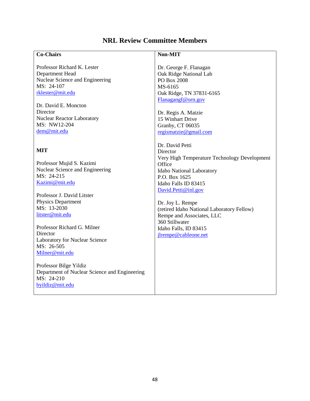# **NRL Review Committee Members**

| <b>Co-Chairs</b>                              | Non-MIT                                      |
|-----------------------------------------------|----------------------------------------------|
|                                               |                                              |
| Professor Richard K. Lester                   | Dr. George F. Flanagan                       |
| Department Head                               | Oak Ridge National Lab                       |
| Nuclear Science and Engineering               | PO Box 2008                                  |
| MS: 24-107                                    | MS-6165                                      |
| rklester@mit.edu                              | Oak Ridge, TN 37831-6165                     |
|                                               | Flanagangf@orn.gov                           |
| Dr. David E. Moncton                          |                                              |
| Director                                      | Dr. Regis A. Matzie                          |
| <b>Nuclear Reactor Laboratory</b>             | 15 Winhart Drive                             |
| MS: NW12-204                                  | Granby, CT 06035                             |
| dem@mit.edu                                   | regismatzie@gmail.com                        |
|                                               |                                              |
|                                               | Dr. David Petti                              |
| <b>MIT</b>                                    | Director                                     |
|                                               | Very High Temperature Technology Development |
| Professor Mujid S. Kazimi                     | Office                                       |
| Nuclear Science and Engineering               | Idaho National Laboratory                    |
| MS: 24-215                                    | P.O. Box 1625                                |
| Kazimi@mit.edu                                | Idaho Falls ID 83415                         |
|                                               | David.Petti@inl.gov                          |
| Professor J. David Litster                    |                                              |
| Physics Department                            | Dr. Joy L. Rempe                             |
| MS: 13-2030                                   | (retired Idaho National Laboratory Fellow)   |
| litster@mit.edu                               | Rempe and Associates, LLC                    |
|                                               | 360 Stillwater                               |
| Professor Richard G. Milner                   | Idaho Falls, ID 83415                        |
| Director                                      | jlrempe@cableone.net                         |
| Laboratory for Nuclear Science                |                                              |
| MS: 26-505                                    |                                              |
| Milner@mit.edu                                |                                              |
|                                               |                                              |
| Professor Bilge Yildiz                        |                                              |
| Department of Nuclear Science and Engineering |                                              |
| MS: 24-210                                    |                                              |
| byildiz@mit.edu                               |                                              |
|                                               |                                              |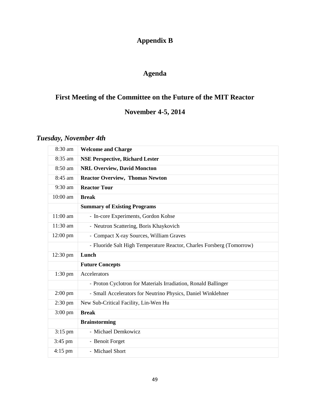# **Appendix B**

## **Agenda**

# **First Meeting of the Committee on the Future of the MIT Reactor**

# **November 4-5, 2014**

# *Tuesday, November 4th*

| 8:30 am           | <b>Welcome and Charge</b>                                             |
|-------------------|-----------------------------------------------------------------------|
| 8:35 am           | <b>NSE Perspective, Richard Lester</b>                                |
| 8:50 am           | <b>NRL Overview, David Moncton</b>                                    |
| 8:45 am           | <b>Reactor Overview, Thomas Newton</b>                                |
| 9:30 am           | <b>Reactor Tour</b>                                                   |
| 10:00 am          | <b>Break</b>                                                          |
|                   | <b>Summary of Existing Programs</b>                                   |
| 11:00 am          | - In-core Experiments, Gordon Kohse                                   |
| $11:30$ am        | - Neutron Scattering, Boris Khaykovich                                |
| 12:00 pm          | - Compact X-ray Sources, William Graves                               |
|                   | - Fluoride Salt High Temperature Reactor, Charles Forsberg (Tomorrow) |
|                   |                                                                       |
| 12:30 pm          | Lunch                                                                 |
|                   | <b>Future Concepts</b>                                                |
| $1:30$ pm         | Accelerators                                                          |
|                   | - Proton Cyclotron for Materials Irradiation, Ronald Ballinger        |
| $2:00$ pm         | - Small Accelerators for Neutrino Physics, Daniel Winklehner          |
| $2:30$ pm         | New Sub-Critical Facility, Lin-Wen Hu                                 |
| $3:00 \text{ pm}$ | <b>Break</b>                                                          |
|                   | <b>Brainstorming</b>                                                  |
| $3:15$ pm         | - Michael Demkowicz                                                   |
| $3:45$ pm         | - Benoit Forget                                                       |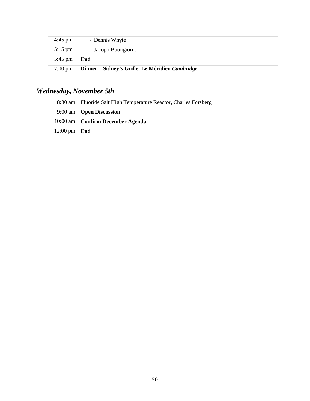| $4:45$ pm         | - Dennis Whyte                                  |
|-------------------|-------------------------------------------------|
| $5:15$ pm         | - Jacopo Buongiorno                             |
| $5:45 \text{ pm}$ | End                                             |
| $7:00 \text{ pm}$ | Dinner – Sidney's Grille, Le Méridien Cambridge |

# *Wednesday, November 5th*

|                        | 8:30 am   Fluoride Salt High Temperature Reactor, Charles Forsberg |
|------------------------|--------------------------------------------------------------------|
|                        | $9:00$ am $\overline{O}$ <b>Open Discussion</b>                    |
|                        | 10:00 am   Confirm December Agenda                                 |
| $12:00 \text{ pm}$ End |                                                                    |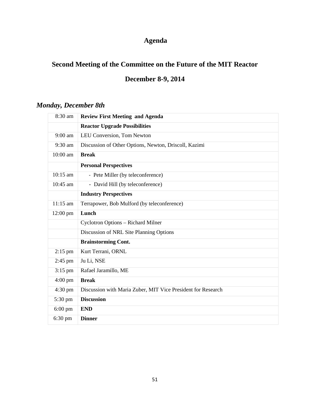# **Agenda**

# **Second Meeting of the Committee on the Future of the MIT Reactor**

# **December 8-9, 2014**

## *Monday, December 8th*

| 8:30 am           | <b>Review First Meeting and Agenda</b>                       |
|-------------------|--------------------------------------------------------------|
|                   | <b>Reactor Upgrade Possibilities</b>                         |
| $9:00$ am         | LEU Conversion, Tom Newton                                   |
| 9:30 am           | Discussion of Other Options, Newton, Driscoll, Kazimi        |
| 10:00 am          | <b>Break</b>                                                 |
|                   | <b>Personal Perspectives</b>                                 |
| 10:15 am          | - Pete Miller (by teleconference)                            |
| $10:45$ am        | - David Hill (by teleconference)                             |
|                   | <b>Industry Perspectives</b>                                 |
| $11:15$ am        | Terrapower, Bob Mulford (by teleconference)                  |
| $12:00$ pm        | Lunch                                                        |
|                   | Cyclotron Options - Richard Milner                           |
|                   | Discussion of NRL Site Planning Options                      |
|                   | <b>Brainstorming Cont.</b>                                   |
| $2:15$ pm         | Kurt Terrani, ORNL                                           |
| $2:45$ pm         | Ju Li, NSE                                                   |
| $3:15$ pm         | Rafael Jaramillo, ME                                         |
| $4:00 \text{ pm}$ | <b>Break</b>                                                 |
| $4:30 \text{ pm}$ | Discussion with Maria Zuber, MIT Vice President for Research |
| 5:30 pm           | <b>Discussion</b>                                            |
| $6:00 \text{ pm}$ | <b>END</b>                                                   |
| $6:30 \text{ pm}$ | <b>Dinner</b>                                                |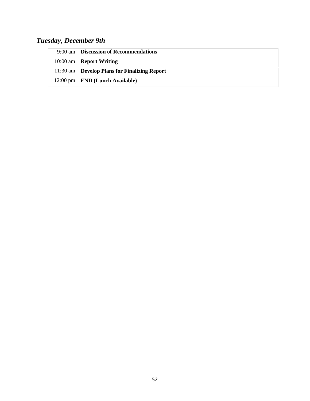# *Tuesday, December 9th*

| 9:00 am   Discussion of Recommendations           |
|---------------------------------------------------|
| 10:00 am   <b>Report Writing</b>                  |
| 11:30 am   Develop Plans for Finalizing Report    |
| $12:00 \text{ pm}$   <b>END</b> (Lunch Available) |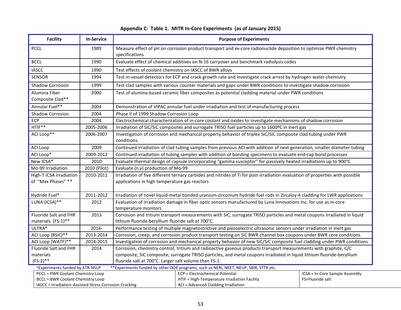### **Appendix C: Table 1. MITR In-Core Experiments (as of January 2015)**

| <b>Facility</b>                                                                                                           | <b>In-Service</b>                                     | <b>Purpose of Experiments</b>                                                                                                                                                  |                                                                                     |                                |  |
|---------------------------------------------------------------------------------------------------------------------------|-------------------------------------------------------|--------------------------------------------------------------------------------------------------------------------------------------------------------------------------------|-------------------------------------------------------------------------------------|--------------------------------|--|
| <b>PCCL</b>                                                                                                               | 1989                                                  | Measure effect of pH on corrosion product transport and ex-core radionuclide deposition to optimize PWR chemistry<br>specifications                                            |                                                                                     |                                |  |
| <b>BCCL</b>                                                                                                               | 1990                                                  | Evaluate effect of chemical additives on N-16 carryover and benchmark radiolysis codes                                                                                         |                                                                                     |                                |  |
| <b>IASCC</b>                                                                                                              | 1990                                                  | Test effects of coolant chemistry on IASCC of BWR alloys                                                                                                                       |                                                                                     |                                |  |
| <b>SENSOR</b>                                                                                                             | 1994                                                  | Test in-vessel detectors for ECP and crack growth rate and investigate crack arrest by hydrogen water chemistry                                                                |                                                                                     |                                |  |
| Shadow Corrosion                                                                                                          | 1999                                                  | Test clad samples with various counter materials and gaps under BWR conditions to investigate shadow corrosion                                                                 |                                                                                     |                                |  |
| Alumina Fiber<br>Composite Clad**                                                                                         | 2000                                                  | Test of alumina-based ceramic fiber composites as potential cladding material under PWR conditions                                                                             |                                                                                     |                                |  |
| Annular Fuel**                                                                                                            | 2004                                                  | Demonstration of VIPAC annular fuel under irradiation and test of manufacturing process                                                                                        |                                                                                     |                                |  |
| <b>Shadow Corrosion</b>                                                                                                   | 2004                                                  | Phase II of 1999 Shadow Corrosion Loop                                                                                                                                         |                                                                                     |                                |  |
| ECP                                                                                                                       | 2004                                                  | Electrochemical characterization of in-core coolant and oxides to investigate mechanisms of shadow corrosion                                                                   |                                                                                     |                                |  |
| HTIF**                                                                                                                    | 2005-2006                                             | Irradiation of SiC/SiC composites and surrogate TRISO fuel particles up to 1600°C in inert gas                                                                                 |                                                                                     |                                |  |
| ACI Loop**                                                                                                                | 2006-2007                                             | Investigation of corrosion and mechanical property behavior of triplex SiC/SiC composite clad tubing under PWR<br>conditions.                                                  |                                                                                     |                                |  |
| ACI Loop                                                                                                                  | 2009                                                  | Continued irradiation of clad tubing samples from previous ACI with addition of next generation, smaller diameter tubing                                                       |                                                                                     |                                |  |
| ACI Loop*                                                                                                                 | 2009-2012                                             | Continued irradiation of tubing samples with addition of bonding specimens to evaluate end-cap bond processes                                                                  |                                                                                     |                                |  |
| New ICSA*                                                                                                                 | 2010                                                  | Evaluate thermal design of capsule incorporating "gamma susceptor" for passively heated irradiations up to 900°C                                                               |                                                                                     |                                |  |
| Mo-99 Irradiation                                                                                                         | 2010 (Pilot)                                          | Evaluate ( $n, \gamma$ ) production of Mo-99                                                                                                                                   |                                                                                     |                                |  |
| High-T ICSA irradiation<br>of "Max Phases" **                                                                             | 2010-2011                                             | Irradiation of five different ternary carbides and nitrides of Ti for post-irradiation evaluation of properties with possible<br>applications in high temperature gas reactors |                                                                                     |                                |  |
|                                                                                                                           |                                                       |                                                                                                                                                                                |                                                                                     |                                |  |
| Hydride Fuel*                                                                                                             | 2011-2012                                             | Irradiation of novel liquid-metal bonded uranium-zirconium hydride fuel rods in Zircaloy-4 cladding for LWR applications                                                       |                                                                                     |                                |  |
| LUNA (ICSA)**                                                                                                             | 2012                                                  | Evaluation of irradiation damage in fiber optic sensors manufactured by Luna Innovations Inc. for use as in-core<br>temperature monitors                                       |                                                                                     |                                |  |
| Fluoride Salt and FHR<br>materials (FS-1)**                                                                               | 2013                                                  | Corrosion and tritium transport measurements with SiC, surrogate TRISO particles and metal coupons irradiated in liquid<br>lithium fluoride-beryllium fluoride salt at 700°C.  |                                                                                     |                                |  |
| ULTRA*                                                                                                                    | 2014-                                                 | Performance testing of multiple magnetostrictive and piezoelectric ultrasonic sensors under irradiation in inert gas                                                           |                                                                                     |                                |  |
| ACI Loop (BSiC)**                                                                                                         | 2013-2014                                             | Corrosion, creep, and corrosion product transport testing on SiC BWR channel box coupons under BWR core conditions                                                             |                                                                                     |                                |  |
| ACI Loop (WATF)**                                                                                                         | 2014-2015                                             | Investigation of corrosion and mechanical property behavior of new SiC/SiC composite fuel cladding under PWR conditions                                                        |                                                                                     |                                |  |
| Fluoride Salt and FHR                                                                                                     | 2014                                                  | Corrosion, chemistry control, tritium and radioactive gaseous products transport measurements with graphite, C/C                                                               |                                                                                     |                                |  |
| materials                                                                                                                 |                                                       | composite, SiC composite, surrogate TRISO particles, and metal coupons irradiated in liquid lithium fluoride-beryllium                                                         |                                                                                     |                                |  |
| $(FS-2)**$                                                                                                                | fluoride salt at 700°C. Larger salt volume than FS-1. |                                                                                                                                                                                |                                                                                     |                                |  |
| ** Experiments funded by other DOE programs, such as NERI, NEET, NEUP, SBIR, STTR etc.<br>*Experiments funded by ATR-NSUF |                                                       |                                                                                                                                                                                |                                                                                     |                                |  |
| PCCL = PWR Coolant Chemistry Loop                                                                                         |                                                       |                                                                                                                                                                                | ECP = Electrochemical Potential                                                     | ICSA = In-Core Sample Assembly |  |
| <b>BCCL = BWR Coolant Chemistry Loop</b><br>IASCC = Irradiation-Assisted Stress Corrosion Cracking                        |                                                       |                                                                                                                                                                                | HTIF = High-Temperature Irradiation Facility<br>ACI = Advanced Cladding Irradiation | FS=Fluoride salt               |  |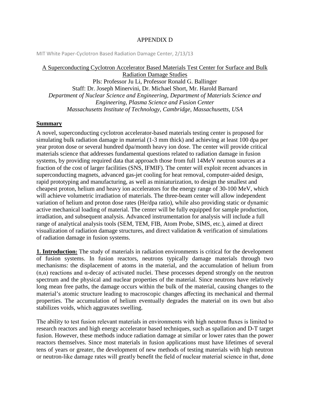#### APPENDIX D

MIT White Paper-Cyclotron Based Radiation Damage Center, 2/13/13

### A Superconducting Cyclotron Accelerator Based Materials Test Center for Surface and Bulk Radiation Damage Studies

PIs: Professor Ju Li, Professor Ronald G. Ballinger Staff: Dr. Joseph Minervini, Dr. Michael Short, Mr. Harold Barnard *Department of Nuclear Science and Engineering, Department of Materials Science and Engineering, Plasma Science and Fusion Center Massachusetts Institute of Technology, Cambridge, Massachusetts, USA*

#### **Summary**

A novel, superconducting cyclotron accelerator-based materials testing center is proposed for simulating bulk radiation damage in material (1-3 mm thick) and achieving at least 100 dpa per year proton dose or several hundred dpa/month heavy ion dose. The center will provide critical materials science that addresses fundamental questions related to radiation damage in fusion systems, by providing required data that approach those from full 14MeV neutron sources at a fraction of the cost of larger facilities (SNS, IFMIF). The center will exploit recent advances in superconducting magnets, advanced gas-jet cooling for heat removal, computer-aided design, rapid prototyping and manufacturing, as well as miniaturization, to design the smallest and cheapest proton, helium and heavy ion accelerators for the energy range of 30-100 MeV, which will achieve volumetric irradiation of materials. The three-beam center will allow independent variation of helium and proton dose rates (He/dpa ratio), while also providing static or dynamic active mechanical loading of material. The center will be fully equipped for sample production, irradiation, and subsequent analysis. Advanced instrumentation for analysis will include a full range of analytical analysis tools (SEM, TEM, FIB, Atom Probe, SIMS, etc.), aimed at direct visualization of radiation damage structures, and direct validation & verification of simulations of radiation damage in fusion systems.

**1. Introduction:** The study of materials in radiation environments is critical for the development of fusion systems. In fusion reactors, neutrons typically damage materials through two mechanisms: the displacement of atoms in the material, and the accumulation of helium from (n,α) reactions and α-decay of activated nuclei. These processes depend strongly on the neutron spectrum and the physical and nuclear properties of the material. Since neutrons have relatively long mean free paths, the damage occurs within the bulk of the material, causing changes to the material's atomic structure leading to macroscopic changes affecting its mechanical and thermal properties. The accumulation of helium eventually degrades the material on its own but also stabilizes voids, which aggravates swelling.

The ability to test fusion relevant materials in environments with high neutron fluxes is limited to research reactors and high energy accelerator based techniques, such as spallation and D-T target fusion. However, these methods induce radiation damage at similar or lower rates than the power reactors themselves. Since most materials in fusion applications must have lifetimes of several tens of years or greater, the development of new methods of testing materials with high neutron or neutron-like damage rates will greatly benefit the field of nuclear material science in that, done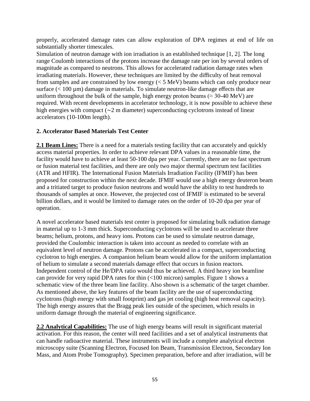properly, accelerated damage rates can allow exploration of DPA regimes at end of life on substantially shorter timescales.

Simulation of neutron damage with ion irradiation is an established technique [1, 2]. The long range Coulomb interactions of the protons increase the damage rate per ion by several orders of magnitude as compared to neutrons. This allows for accelerated radiation damage rates when irradiating materials. However, these techniques are limited by the difficulty of heat removal from samples and are constrained by low energy (< 5 MeV) beams which can only produce near surface  $(< 100 \mu m)$  damage in materials. To simulate neutron-like damage effects that are uniform throughout the bulk of the sample, high energy proton beams ( $\approx$  30-40 MeV) are required. With recent developments in accelerator technology, it is now possible to achieve these high energies with compact (∼2 m diameter) superconducting cyclotrons instead of linear accelerators (10-100m length).

### **2. Accelerator Based Materials Test Center**

**2.1 Beam Lines:** There is a need for a materials testing facility that can accurately and quickly access material properties. In order to achieve relevant DPA values in a reasonable time, the facility would have to achieve at least 50-100 dpa per year. Currently, there are no fast spectrum or fusion material test facilities, and there are only two major thermal spectrum test facilities (ATR and HFIR). The International Fusion Materials Irradiation Facility (IFMIF) has been proposed for construction within the next decade. IFMIF would use a high energy deuteron beam and a tritiated target to produce fusion neutrons and would have the ability to test hundreds to thousands of samples at once. However, the projected cost of IFMIF is estimated to be several billion dollars, and it would be limited to damage rates on the order of 10-20 dpa per year of operation.

A novel accelerator based materials test center is proposed for simulating bulk radiation damage in material up to 1-3 mm thick. Superconducting cyclotrons will be used to accelerate three beams; helium, protons, and heavy ions. Protons can be used to simulate neutron damage, provided the Coulombic interaction is taken into account as needed to correlate with an equivalent level of neutron damage. Protons can be accelerated in a compact, superconducting cyclotron to high energies. A companion helium beam would allow for the uniform implantation of helium to simulate a second materials damage effect that occurs in fusion reactors. Independent control of the He/DPA ratio would thus be achieved. A third heavy ion beamline can provide for very rapid DPA rates for thin (<100 micron) samples. Figure 1 shows a schematic view of the three beam line facility. Also shown is a schematic of the target chamber. As mentioned above, the key features of the beam facility are the use of superconducting cyclotrons (high energy with small footprint) and gas jet cooling (high heat removal capacity). The high energy assures that the Bragg peak lies outside of the specimen, which results in uniform damage through the material of engineering significance.

**2.2 Analytical Capabilities:** The use of high energy beams will result in significant material activation. For this reason, the center will need facilities and a set of analytical instruments that can handle radioactive material. These instruments will include a complete analytical electron microscopy suite (Scanning Electron, Focused Ion Beam, Transmission Electron, Secondary Ion Mass, and Atom Probe Tomography). Specimen preparation, before and after irradiation, will be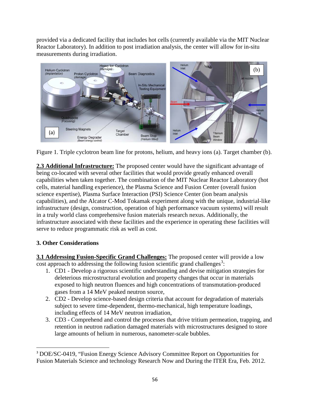provided via a dedicated facility that includes hot cells (currently available via the MIT Nuclear Reactor Laboratory). In addition to post irradiation analysis, the center will allow for in-situ measurements during irradiation.





**2.3 Additional Infrastructure:** The proposed center would have the significant advantage of being co-located with several other facilities that would provide greatly enhanced overall capabilities when taken together. The combination of the MIT Nuclear Reactor Laboratory (hot cells, material handling experience), the Plasma Science and Fusion Center (overall fusion science expertise), Plasma Surface Interaction (PSI) Science Center (ion beam analysis capabilities), and the Alcator C-Mod Tokamak experiment along with the unique, industrial-like infrastructure (design, construction, operation of high performance vacuum systems) will result in a truly world class comprehensive fusion materials research nexus. Additionally, the infrastructure associated with these facilities and the experience in operating these facilities will serve to reduce programmatic risk as well as cost.

### **3. Other Considerations**

**3.1 Addressing Fusion-Specific Grand Challenges:** The proposed center will provide a low cost approach to addressing the following fusion scientific grand challenges<sup>[3](#page-55-0)</sup>:

- 1. CD1 Develop a rigorous scientific understanding and devise mitigation strategies for deleterious microstructural evolution and property changes that occur in materials exposed to high neutron fluences and high concentrations of transmutation-produced gases from a 14 MeV peaked neutron source,
- 2. CD2 Develop science-based design criteria that account for degradation of materials subject to severe time-dependent, thermo-mechanical, high temperature loadings, including effects of 14 MeV neutron irradiation,
- 3. CD3 Comprehend and control the processes that drive tritium permeation, trapping, and retention in neutron radiation damaged materials with microstructures designed to store large amounts of helium in numerous, nanometer-scale bubbles.

<span id="page-55-0"></span> <sup>3</sup> DOE/SC-0419, "Fusion Energy Science Advisory Committee Report on Opportunities for Fusion Materials Science and technology Research Now and During the ITER Era, Feb. 2012.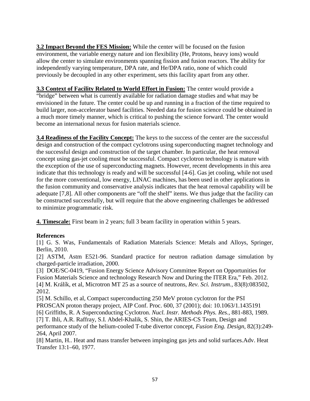**3.2 Impact Beyond the FES Mission:** While the center will be focused on the fusion environment, the variable energy nature and ion flexibility (He, Protons, heavy ions) would allow the center to simulate environments spanning fission and fusion reactors. The ability for independently varying temperature, DPA rate, and He/DPA ratio, none of which could previously be decoupled in any other experiment, sets this facility apart from any other.

**3.3 Context of Facility Related to World Effort in Fusion:** The center would provide a "bridge" between what is currently available for radiation damage studies and what may be envisioned in the future. The center could be up and running in a fraction of the time required to build larger, non-accelerator based facilities. Needed data for fusion science could be obtained in a much more timely manner, which is critical to pushing the science forward. The center would become an international nexus for fusion materials science.

**3.4 Readiness of the Facility Concept:** The keys to the success of the center are the successful design and construction of the compact cyclotrons using superconducting magnet technology and the successful design and construction of the target chamber. In particular, the heat removal concept using gas-jet cooling must be successful. Compact cyclotron technology is mature with the exception of the use of superconducting magnets. However, recent developments in this area indicate that this technology is ready and will be successful [4-6]. Gas jet cooling, while not used for the more conventional, low energy, LINAC machines, has been used in other applications in the fusion community and conservative analysis indicates that the heat removal capability will be adequate [7,8]. All other components are "off the shelf" items. We thus judge that the facility can be constructed successfully, but will require that the above engineering challenges be addressed to minimize programmatic risk.

**4. Timescale:** First beam in 2 years; full 3 beam facility in operation within 5 years.

### **References**

[1] G. S. Was, Fundamentals of Radiation Materials Science: Metals and Alloys, Springer, Berlin, 2010.

[2] ASTM, Astm E521-96. Standard practice for neutron radiation damage simulation by charged-particle irradiation, 2000.

[3] DOE/SC-0419, "Fusion Energy Science Advisory Committee Report on Opportunities for Fusion Materials Science and technology Research Now and During the ITER Era," Feb. 2012. [4] M. Králík, et al, Microtron MT 25 as a source of neutrons, *Rev. Sci. Instrum.*, 83(8):083502, 2012.

[5] M. Schillo, et al, Compact superconducting 250 MeV proton cyclotron for the PSI PROSCAN proton therapy project, AIP Conf. Proc. 600, 37 (2001); doi: 10.1063/1.1435191 [6] Griffiths, R. A Superconducting Cyclotron. *Nucl. Instr. Methods Phys. Res.*, 881-883, 1989. [7] T. Ihli, A.R. Raffray, S.I. Abdel-Khalik, S. Shin, the ARIES-CS Team, Design and performance study of the helium-cooled T-tube divertor concept, *Fusion Eng. Design*, 82(3):249- 264, April 2007.

[8] Martin, H.. Heat and mass transfer between impinging gas jets and solid surfaces.Adv. Heat Transfer 13:1–60, 1977.